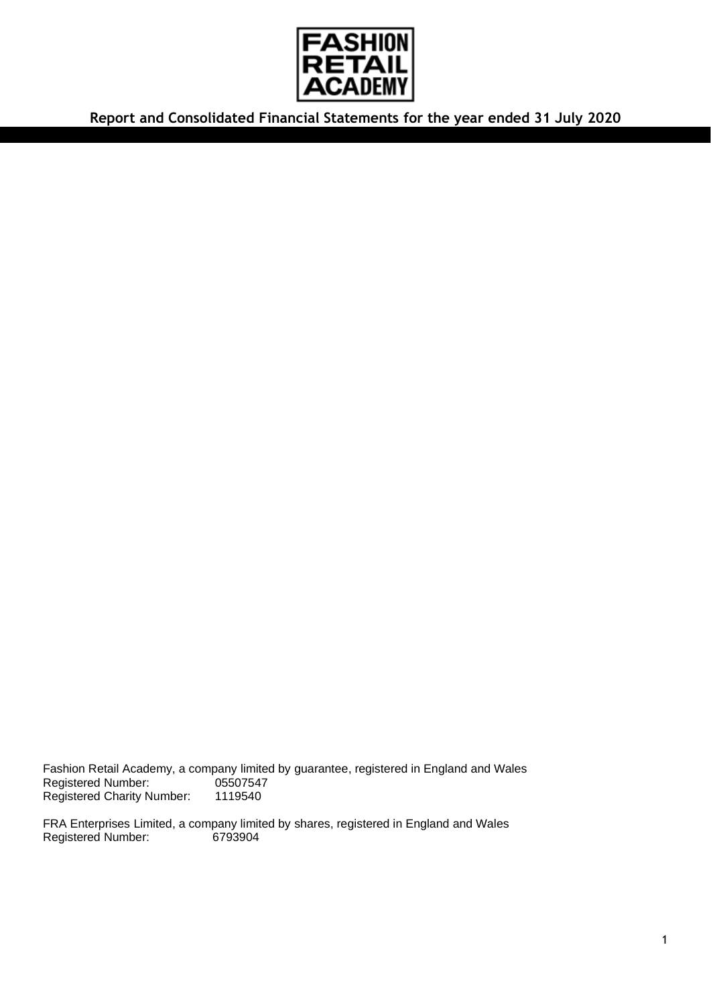

Fashion Retail Academy, a company limited by guarantee, registered in England and Wales<br>Registered Number: 05507547 Registered Number: 05507547<br>Registered Charity Number: 1119540 Registered Charity Number:

FRA Enterprises Limited, a company limited by shares, registered in England and Wales<br>Registered Number: 6793904 Registered Number: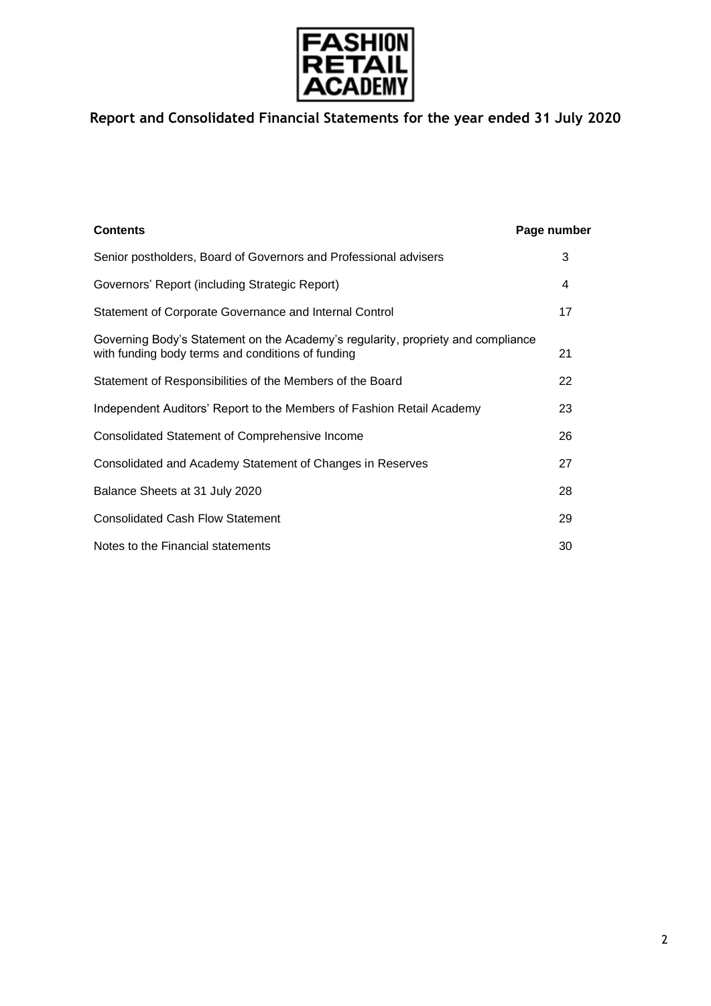

| <b>Contents</b>                                                                                                                       | Page number |
|---------------------------------------------------------------------------------------------------------------------------------------|-------------|
| Senior postholders, Board of Governors and Professional advisers                                                                      | 3           |
| Governors' Report (including Strategic Report)                                                                                        | 4           |
| Statement of Corporate Governance and Internal Control                                                                                | 17          |
| Governing Body's Statement on the Academy's regularity, propriety and compliance<br>with funding body terms and conditions of funding | 21          |
| Statement of Responsibilities of the Members of the Board                                                                             | 22          |
| Independent Auditors' Report to the Members of Fashion Retail Academy                                                                 | 23          |
| Consolidated Statement of Comprehensive Income                                                                                        | 26          |
| Consolidated and Academy Statement of Changes in Reserves                                                                             | 27          |
| Balance Sheets at 31 July 2020                                                                                                        | 28          |
| <b>Consolidated Cash Flow Statement</b>                                                                                               | 29          |
| Notes to the Financial statements                                                                                                     | 30          |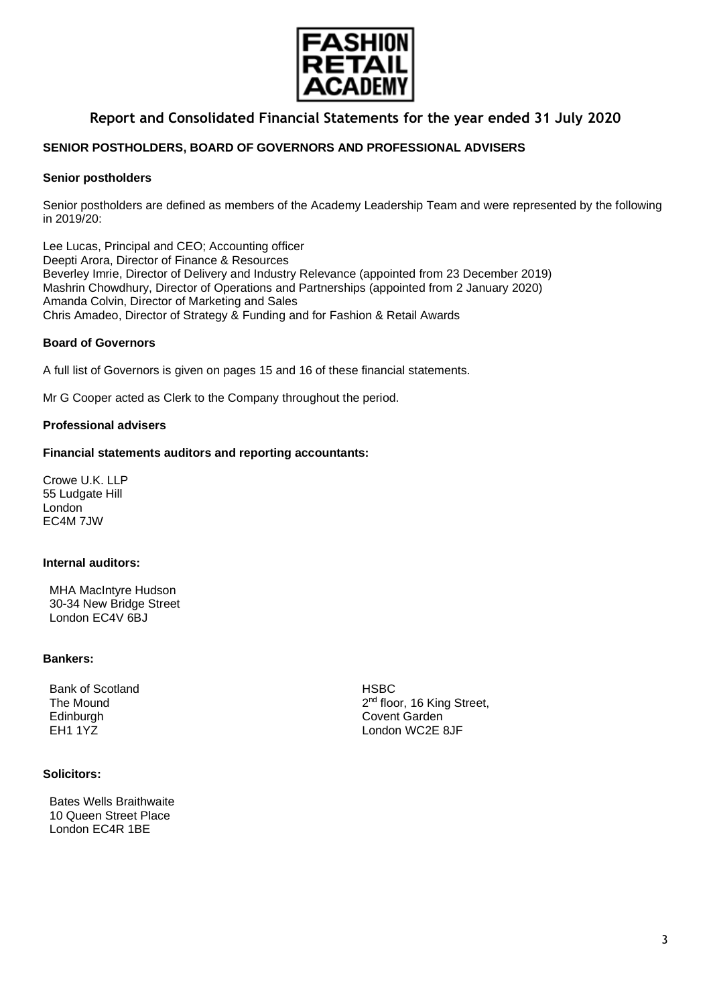

# **SENIOR POSTHOLDERS, BOARD OF GOVERNORS AND PROFESSIONAL ADVISERS**

#### **Senior postholders**

Senior postholders are defined as members of the Academy Leadership Team and were represented by the following in 2019/20:

Lee Lucas, Principal and CEO; Accounting officer Deepti Arora, Director of Finance & Resources Beverley Imrie, Director of Delivery and Industry Relevance (appointed from 23 December 2019) Mashrin Chowdhury, Director of Operations and Partnerships (appointed from 2 January 2020) Amanda Colvin, Director of Marketing and Sales Chris Amadeo, Director of Strategy & Funding and for Fashion & Retail Awards

#### **Board of Governors**

A full list of Governors is given on pages 15 and 16 of these financial statements.

Mr G Cooper acted as Clerk to the Company throughout the period.

#### **Professional advisers**

#### **Financial statements auditors and reporting accountants:**

Crowe U.K. LLP 55 Ludgate Hill London EC4M 7JW

#### **Internal auditors:**

MHA MacIntyre Hudson 30-34 New Bridge Street London EC4V 6BJ

#### **Bankers:**

Bank of Scotland The Mound **Edinburgh** EH1 1YZ

#### **Solicitors:**

Bates Wells Braithwaite 10 Queen Street Place London EC4R 1BE

**HSBC** 2<sup>nd</sup> floor, 16 King Street, Covent Garden London WC2E 8JF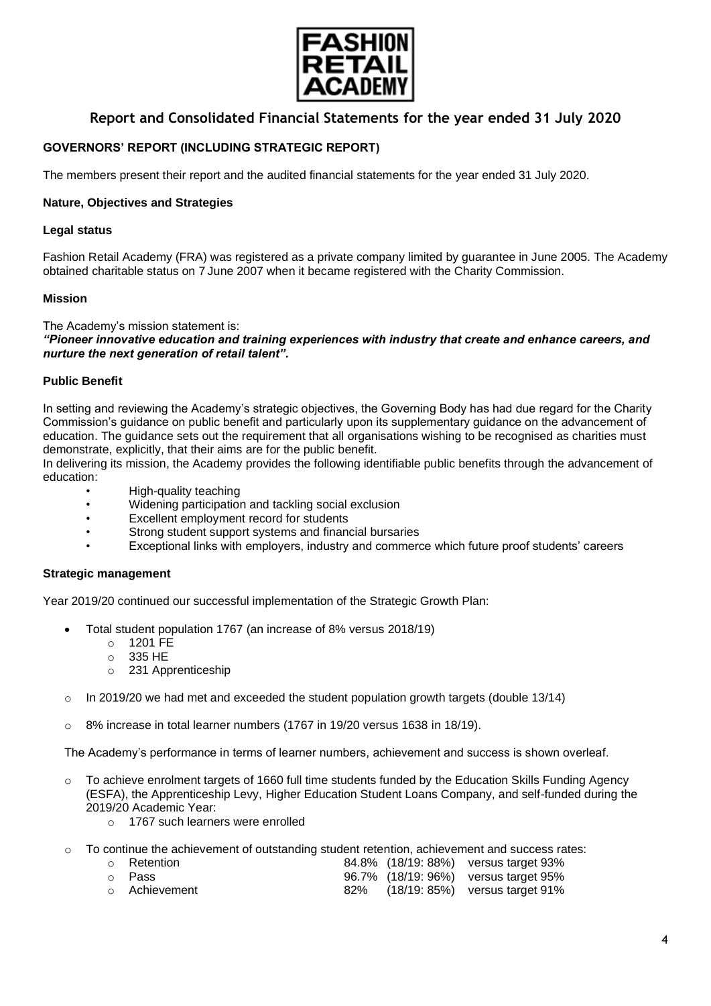

# **GOVERNORS' REPORT (INCLUDING STRATEGIC REPORT)**

The members present their report and the audited financial statements for the year ended 31 July 2020.

#### **Nature, Objectives and Strategies**

#### **Legal status**

Fashion Retail Academy (FRA) was registered as a private company limited by guarantee in June 2005. The Academy obtained charitable status on 7June 2007 when it became registered with the Charity Commission.

#### **Mission**

The Academy's mission statement is:

*"Pioneer innovative education and training experiences with industry that create and enhance careers, and nurture the next generation of retail talent".*

#### **Public Benefit**

In setting and reviewing the Academy's strategic objectives, the Governing Body has had due regard for the Charity Commission's guidance on public benefit and particularly upon its supplementary guidance on the advancement of education. The guidance sets out the requirement that all organisations wishing to be recognised as charities must demonstrate, explicitly, that their aims are for the public benefit.

In delivering its mission, the Academy provides the following identifiable public benefits through the advancement of education:

- High-quality teaching
- Widening participation and tackling social exclusion
- Excellent employment record for students
- Strong student support systems and financial bursaries
- Exceptional links with employers, industry and commerce which future proof students' careers

#### **Strategic management**

Year 2019/20 continued our successful implementation of the Strategic Growth Plan:

- Total student population 1767 (an increase of 8% versus 2018/19)
	- o 1201 FE
	- o 335 HE
	- o 231 Apprenticeship
- $\circ$  In 2019/20 we had met and exceeded the student population growth targets (double 13/14)
- o 8% increase in total learner numbers (1767 in 19/20 versus 1638 in 18/19).

The Academy's performance in terms of learner numbers, achievement and success is shown overleaf.

- To achieve enrolment targets of 1660 full time students funded by the Education Skills Funding Agency (ESFA), the Apprenticeship Levy, Higher Education Student Loans Company, and self-funded during the 2019/20 Academic Year:
	- o 1767 such learners were enrolled
- $\circ$  To continue the achievement of outstanding student retention, achievement and success rates:

| ○ Retention   |  | 84.8% (18/19: 88%) versus target 93% |
|---------------|--|--------------------------------------|
| ⊙ Pass        |  | 96.7% (18/19: 96%) versus target 95% |
| ○ Achievement |  | 82% (18/19: 85%) versus target 91%   |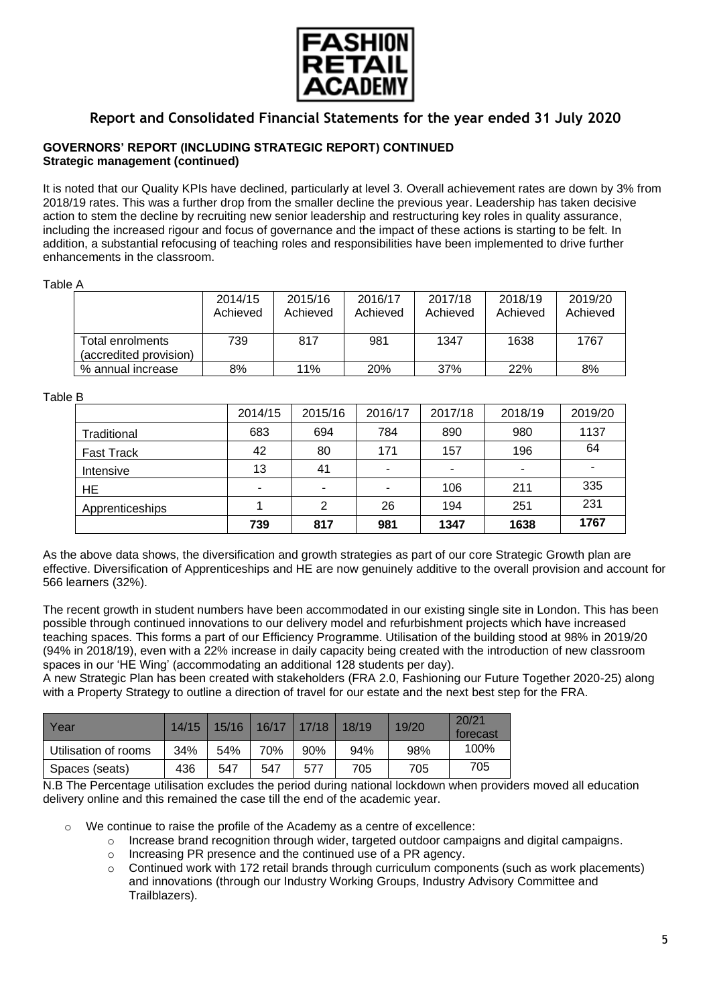

### **GOVERNORS' REPORT (INCLUDING STRATEGIC REPORT) CONTINUED Strategic management (continued)**

It is noted that our Quality KPIs have declined, particularly at level 3. Overall achievement rates are down by 3% from 2018/19 rates. This was a further drop from the smaller decline the previous year. Leadership has taken decisive action to stem the decline by recruiting new senior leadership and restructuring key roles in quality assurance, including the increased rigour and focus of governance and the impact of these actions is starting to be felt. In addition, a substantial refocusing of teaching roles and responsibilities have been implemented to drive further enhancements in the classroom.

Table A

|                                            | 2014/15<br>Achieved | 2015/16<br>Achieved | 2016/17<br>Achieved | 2017/18<br>Achieved | 2018/19<br>Achieved | 2019/20<br>Achieved |
|--------------------------------------------|---------------------|---------------------|---------------------|---------------------|---------------------|---------------------|
| Total enrolments<br>(accredited provision) | 739                 | 817                 | 981                 | 1347                | 1638                | 1767                |
| % annual increase                          | 8%                  | 11%                 | 20%                 | 37%                 | 22%                 | 8%                  |

Table B

|                   | 2014/15 | 2015/16 | 2016/17                  | 2017/18 | 2018/19 | 2019/20 |
|-------------------|---------|---------|--------------------------|---------|---------|---------|
| Traditional       | 683     | 694     | 784                      | 890     | 980     | 1137    |
| <b>Fast Track</b> | 42      | 80      | 171                      | 157     | 196     | 64      |
| Intensive         | 13      | 41      | $\overline{\phantom{a}}$ | -       |         | ۰       |
| HE                |         |         | ٠                        | 106     | 211     | 335     |
| Apprenticeships   |         | 2       | 26                       | 194     | 251     | 231     |
|                   | 739     | 817     | 981                      | 1347    | 1638    | 1767    |

As the above data shows, the diversification and growth strategies as part of our core Strategic Growth plan are effective. Diversification of Apprenticeships and HE are now genuinely additive to the overall provision and account for 566 learners (32%).

The recent growth in student numbers have been accommodated in our existing single site in London. This has been possible through continued innovations to our delivery model and refurbishment projects which have increased teaching spaces. This forms a part of our Efficiency Programme. Utilisation of the building stood at 98% in 2019/20 (94% in 2018/19), even with a 22% increase in daily capacity being created with the introduction of new classroom spaces in our 'HE Wing' (accommodating an additional 128 students per day).

A new Strategic Plan has been created with stakeholders (FRA 2.0, Fashioning our Future Together 2020-25) along with a Property Strategy to outline a direction of travel for our estate and the next best step for the FRA.

| Year                 | 14/15 | 15/16 | 16/17 | 17/18 | 18/19 | 19/20 | 20/21<br>torecast |
|----------------------|-------|-------|-------|-------|-------|-------|-------------------|
| Utilisation of rooms | 34%   | 54%   | 70%   | 90%   | 94%   | 98%   | 100%              |
| Spaces (seats)       | 436   | 547   | 547   | 577   | 705   | 705   | 705               |

N.B The Percentage utilisation excludes the period during national lockdown when providers moved all education delivery online and this remained the case till the end of the academic year.

- We continue to raise the profile of the Academy as a centre of excellence:
	- $\circ$  Increase brand recognition through wider, targeted outdoor campaigns and digital campaigns.
	- o Increasing PR presence and the continued use of a PR agency.
	- $\circ$  Continued work with 172 retail brands through curriculum components (such as work placements) and innovations (through our Industry Working Groups, Industry Advisory Committee and Trailblazers).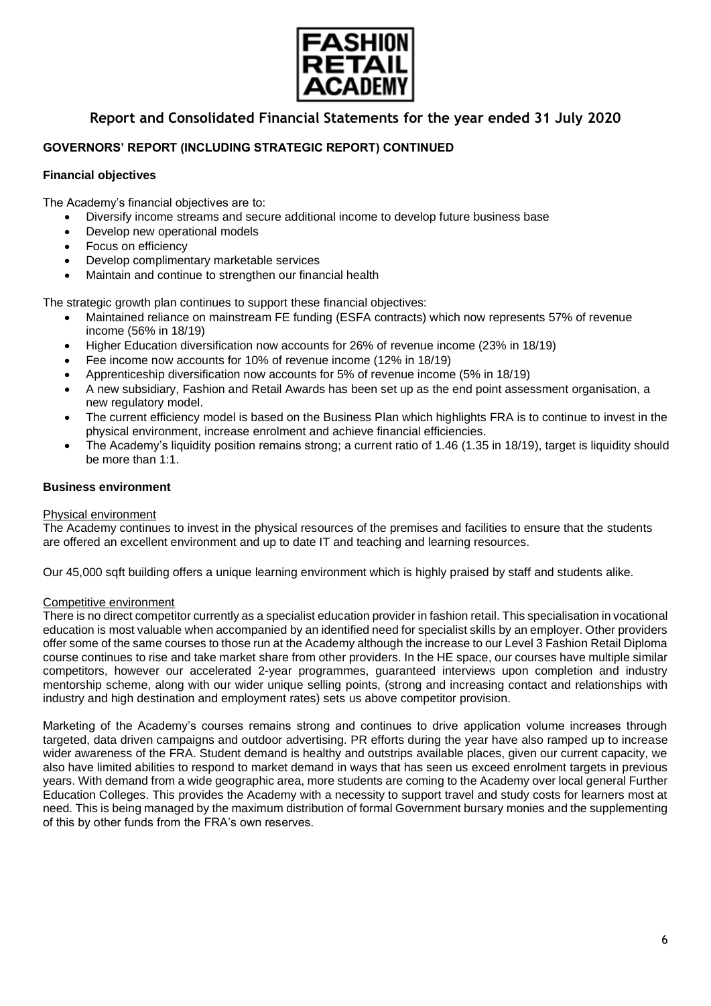

# **GOVERNORS' REPORT (INCLUDING STRATEGIC REPORT) CONTINUED**

## **Financial objectives**

The Academy's financial objectives are to:

- Diversify income streams and secure additional income to develop future business base
- Develop new operational models
- Focus on efficiency
- Develop complimentary marketable services
- Maintain and continue to strengthen our financial health

The strategic growth plan continues to support these financial objectives:

- Maintained reliance on mainstream FE funding (ESFA contracts) which now represents 57% of revenue income (56% in 18/19)
- Higher Education diversification now accounts for 26% of revenue income (23% in 18/19)
- Fee income now accounts for 10% of revenue income (12% in 18/19)
- Apprenticeship diversification now accounts for 5% of revenue income (5% in 18/19)
- A new subsidiary, Fashion and Retail Awards has been set up as the end point assessment organisation, a new regulatory model.
- The current efficiency model is based on the Business Plan which highlights FRA is to continue to invest in the physical environment, increase enrolment and achieve financial efficiencies.
- The Academy's liquidity position remains strong; a current ratio of 1.46 (1.35 in 18/19), target is liquidity should be more than 1:1.

### **Business environment**

### Physical environment

The Academy continues to invest in the physical resources of the premises and facilities to ensure that the students are offered an excellent environment and up to date IT and teaching and learning resources.

Our 45,000 saft building offers a unique learning environment which is highly praised by staff and students alike.

### Competitive environment

There is no direct competitor currently as a specialist education provider in fashion retail. This specialisation in vocational education is most valuable when accompanied by an identified need for specialist skills by an employer. Other providers offer some of the same courses to those run at the Academy although the increase to our Level 3 Fashion Retail Diploma course continues to rise and take market share from other providers. In the HE space, our courses have multiple similar competitors, however our accelerated 2-year programmes, guaranteed interviews upon completion and industry mentorship scheme, along with our wider unique selling points, (strong and increasing contact and relationships with industry and high destination and employment rates) sets us above competitor provision.

Marketing of the Academy's courses remains strong and continues to drive application volume increases through targeted, data driven campaigns and outdoor advertising. PR efforts during the year have also ramped up to increase wider awareness of the FRA. Student demand is healthy and outstrips available places, given our current capacity, we also have limited abilities to respond to market demand in ways that has seen us exceed enrolment targets in previous years. With demand from a wide geographic area, more students are coming to the Academy over local general Further Education Colleges. This provides the Academy with a necessity to support travel and study costs for learners most at need. This is being managed by the maximum distribution of formal Government bursary monies and the supplementing of this by other funds from the FRA's own reserves.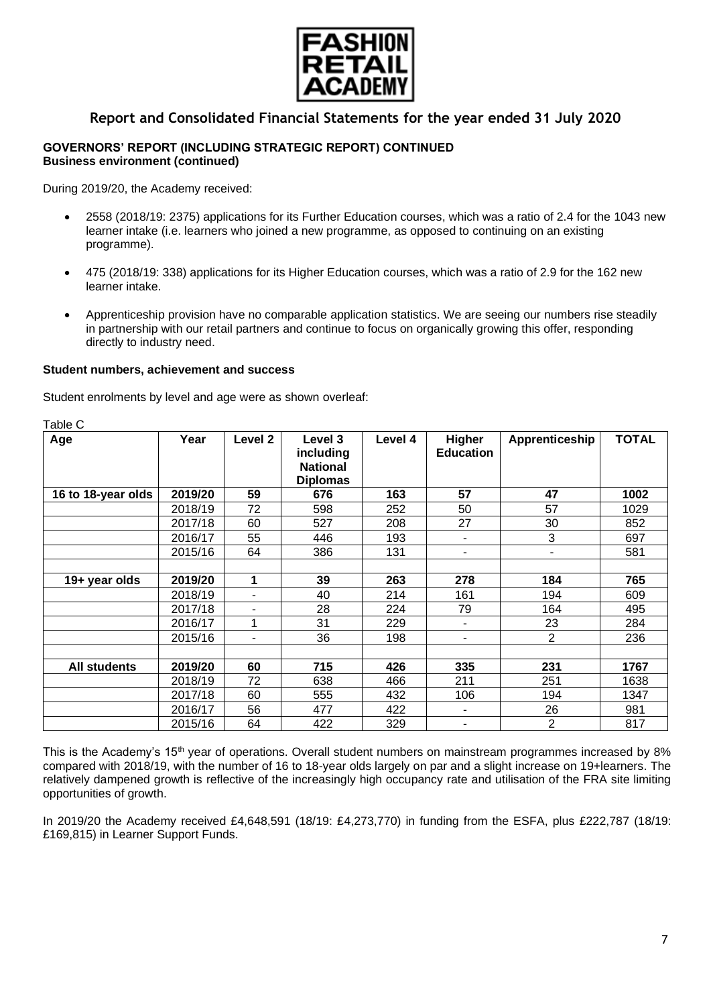

### **GOVERNORS' REPORT (INCLUDING STRATEGIC REPORT) CONTINUED Business environment (continued)**

During 2019/20, the Academy received:

- 2558 (2018/19: 2375) applications for its Further Education courses, which was a ratio of 2.4 for the 1043 new learner intake (i.e. learners who joined a new programme, as opposed to continuing on an existing programme).
- 475 (2018/19: 338) applications for its Higher Education courses, which was a ratio of 2.9 for the 162 new learner intake.
- Apprenticeship provision have no comparable application statistics. We are seeing our numbers rise steadily in partnership with our retail partners and continue to focus on organically growing this offer, responding directly to industry need.

#### **Student numbers, achievement and success**

Student enrolments by level and age were as shown overleaf:

| Age                | Year    | Level 2 | Level 3<br>including<br><b>National</b><br><b>Diplomas</b> | Level 4 | Higher<br><b>Education</b> | Apprenticeship | <b>TOTAL</b> |
|--------------------|---------|---------|------------------------------------------------------------|---------|----------------------------|----------------|--------------|
| 16 to 18-year olds | 2019/20 | 59      | 676                                                        | 163     | 57                         | 47             | 1002         |
|                    | 2018/19 | 72      | 598                                                        | 252     | 50                         | 57             | 1029         |
|                    | 2017/18 | 60      | 527                                                        | 208     | 27                         | 30             | 852          |
|                    | 2016/17 | 55      | 446                                                        | 193     | -                          | 3              | 697          |
|                    | 2015/16 | 64      | 386                                                        | 131     | $\overline{\phantom{a}}$   | ۰              | 581          |
|                    |         |         |                                                            |         |                            |                |              |
| 19+ year olds      | 2019/20 | 1       | 39                                                         | 263     | 278                        | 184            | 765          |
|                    | 2018/19 | -       | 40                                                         | 214     | 161                        | 194            | 609          |
|                    | 2017/18 | ۰       | 28                                                         | 224     | 79                         | 164            | 495          |
|                    | 2016/17 |         | 31                                                         | 229     | $\blacksquare$             | 23             | 284          |
|                    | 2015/16 | -       | 36                                                         | 198     | ٠                          | $\overline{2}$ | 236          |
|                    |         |         |                                                            |         |                            |                |              |
| All students       | 2019/20 | 60      | 715                                                        | 426     | 335                        | 231            | 1767         |
|                    | 2018/19 | 72      | 638                                                        | 466     | 211                        | 251            | 1638         |
|                    | 2017/18 | 60      | 555                                                        | 432     | 106                        | 194            | 1347         |
|                    | 2016/17 | 56      | 477                                                        | 422     | -                          | 26             | 981          |
|                    | 2015/16 | 64      | 422                                                        | 329     | ٠                          | $\overline{2}$ | 817          |

Table C

This is the Academy's 15<sup>th</sup> year of operations. Overall student numbers on mainstream programmes increased by 8% compared with 2018/19, with the number of 16 to 18-year olds largely on par and a slight increase on 19+learners. The relatively dampened growth is reflective of the increasingly high occupancy rate and utilisation of the FRA site limiting opportunities of growth.

In 2019/20 the Academy received £4,648,591 (18/19: £4,273,770) in funding from the ESFA, plus £222,787 (18/19: £169,815) in Learner Support Funds.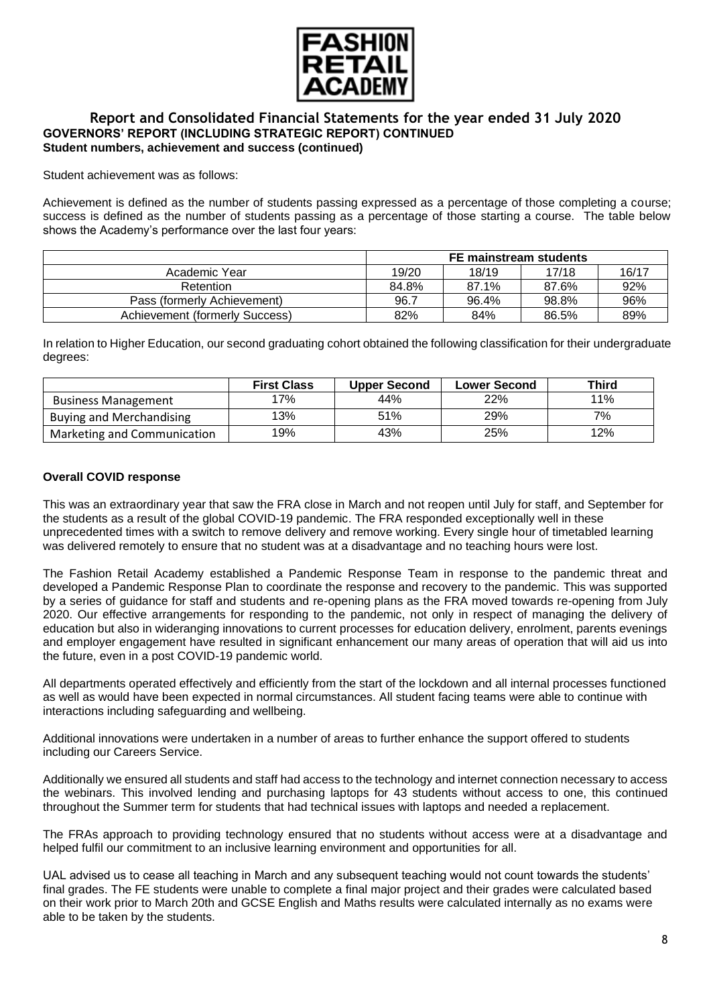

#### **Report and Consolidated Financial Statements for the year ended 31 July 2020 GOVERNORS' REPORT (INCLUDING STRATEGIC REPORT) CONTINUED Student numbers, achievement and success (continued)**

Student achievement was as follows:

Achievement is defined as the number of students passing expressed as a percentage of those completing a course; success is defined as the number of students passing as a percentage of those starting a course. The table below shows the Academy's performance over the last four years:

|                                | FE mainstream students |       |       |       |
|--------------------------------|------------------------|-------|-------|-------|
| Academic Year                  | 19/20                  | 18/19 | 17/18 | 16/17 |
| Retention                      | 84.8%                  | 87.1% | 87.6% | 92%   |
| Pass (formerly Achievement)    | 96.7                   | 96.4% | 98.8% | 96%   |
| Achievement (formerly Success) | 82%                    | 84%   | 86.5% | 89%   |

In relation to Higher Education, our second graduating cohort obtained the following classification for their undergraduate degrees:

|                                 | <b>First Class</b> | <b>Upper Second</b> | <b>Lower Second</b> | <b>Third</b> |
|---------------------------------|--------------------|---------------------|---------------------|--------------|
| <b>Business Management</b>      | '7%                | 44%                 | 22%                 | 11%          |
| <b>Buying and Merchandising</b> | 13%                | 51%                 | 29%                 | 7%           |
| Marketing and Communication     | 19%                | 43%                 | 25%                 | 12%          |

### **Overall COVID response**

This was an extraordinary year that saw the FRA close in March and not reopen until July for staff, and September for the students as a result of the global COVID-19 pandemic. The FRA responded exceptionally well in these unprecedented times with a switch to remove delivery and remove working. Every single hour of timetabled learning was delivered remotely to ensure that no student was at a disadvantage and no teaching hours were lost.

The Fashion Retail Academy established a Pandemic Response Team in response to the pandemic threat and developed a Pandemic Response Plan to coordinate the response and recovery to the pandemic. This was supported by a series of guidance for staff and students and re-opening plans as the FRA moved towards re-opening from July 2020. Our effective arrangements for responding to the pandemic, not only in respect of managing the delivery of education but also in wideranging innovations to current processes for education delivery, enrolment, parents evenings and employer engagement have resulted in significant enhancement our many areas of operation that will aid us into the future, even in a post COVID-19 pandemic world.

All departments operated effectively and efficiently from the start of the lockdown and all internal processes functioned as well as would have been expected in normal circumstances. All student facing teams were able to continue with interactions including safeguarding and wellbeing.

Additional innovations were undertaken in a number of areas to further enhance the support offered to students including our Careers Service.

Additionally we ensured all students and staff had access to the technology and internet connection necessary to access the webinars. This involved lending and purchasing laptops for 43 students without access to one, this continued throughout the Summer term for students that had technical issues with laptops and needed a replacement.

The FRAs approach to providing technology ensured that no students without access were at a disadvantage and helped fulfil our commitment to an inclusive learning environment and opportunities for all.

UAL advised us to cease all teaching in March and any subsequent teaching would not count towards the students' final grades. The FE students were unable to complete a final major project and their grades were calculated based on their work prior to March 20th and GCSE English and Maths results were calculated internally as no exams were able to be taken by the students.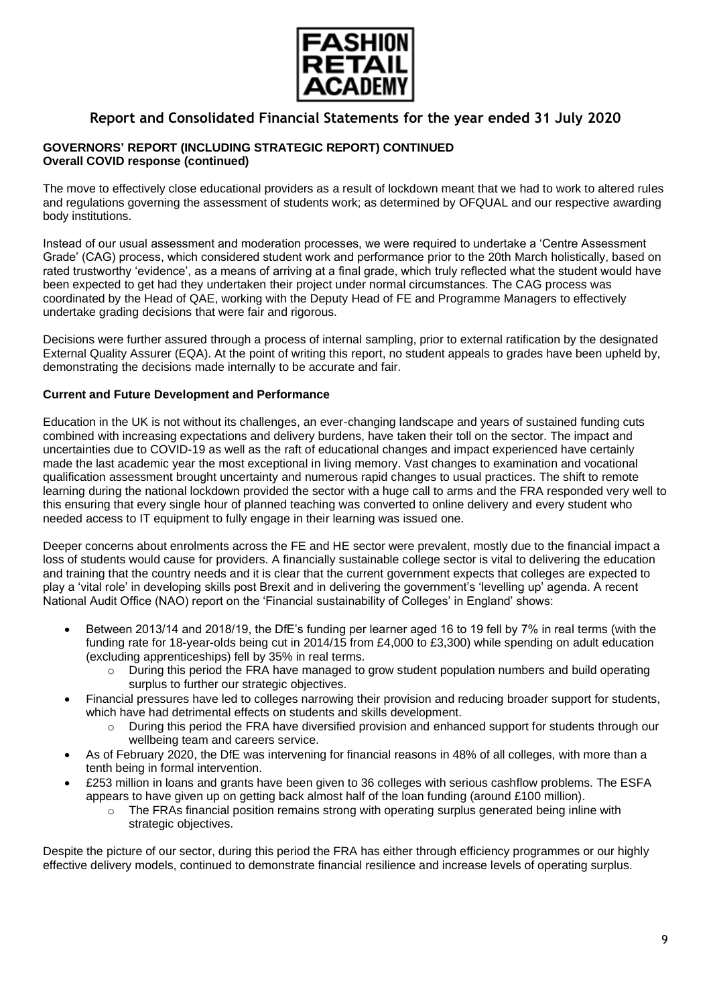

### **GOVERNORS' REPORT (INCLUDING STRATEGIC REPORT) CONTINUED Overall COVID response (continued)**

The move to effectively close educational providers as a result of lockdown meant that we had to work to altered rules and regulations governing the assessment of students work; as determined by OFQUAL and our respective awarding body institutions.

Instead of our usual assessment and moderation processes, we were required to undertake a 'Centre Assessment Grade' (CAG) process, which considered student work and performance prior to the 20th March holistically, based on rated trustworthy 'evidence', as a means of arriving at a final grade, which truly reflected what the student would have been expected to get had they undertaken their project under normal circumstances. The CAG process was coordinated by the Head of QAE, working with the Deputy Head of FE and Programme Managers to effectively undertake grading decisions that were fair and rigorous.

Decisions were further assured through a process of internal sampling, prior to external ratification by the designated External Quality Assurer (EQA). At the point of writing this report, no student appeals to grades have been upheld by, demonstrating the decisions made internally to be accurate and fair.

### **Current and Future Development and Performance**

Education in the UK is not without its challenges, an ever-changing landscape and years of sustained funding cuts combined with increasing expectations and delivery burdens, have taken their toll on the sector. The impact and uncertainties due to COVID-19 as well as the raft of educational changes and impact experienced have certainly made the last academic year the most exceptional in living memory. Vast changes to examination and vocational qualification assessment brought uncertainty and numerous rapid changes to usual practices. The shift to remote learning during the national lockdown provided the sector with a huge call to arms and the FRA responded very well to this ensuring that every single hour of planned teaching was converted to online delivery and every student who needed access to IT equipment to fully engage in their learning was issued one.

Deeper concerns about enrolments across the FE and HE sector were prevalent, mostly due to the financial impact a loss of students would cause for providers. A financially sustainable college sector is vital to delivering the education and training that the country needs and it is clear that the current government expects that colleges are expected to play a 'vital role' in developing skills post Brexit and in delivering the government's 'levelling up' agenda. A recent National Audit Office (NAO) report on the 'Financial sustainability of Colleges' in England' shows:

- Between 2013/14 and 2018/19, the DfE's funding per learner aged 16 to 19 fell by 7% in real terms (with the funding rate for 18-year-olds being cut in 2014/15 from £4,000 to £3,300) while spending on adult education (excluding apprenticeships) fell by 35% in real terms.
	- $\circ$  During this period the FRA have managed to grow student population numbers and build operating surplus to further our strategic objectives.
- Financial pressures have led to colleges narrowing their provision and reducing broader support for students, which have had detrimental effects on students and skills development.
	- o During this period the FRA have diversified provision and enhanced support for students through our wellbeing team and careers service.
- As of February 2020, the DfE was intervening for financial reasons in 48% of all colleges, with more than a tenth being in formal intervention.
- £253 million in loans and grants have been given to 36 colleges with serious cashflow problems. The ESFA appears to have given up on getting back almost half of the loan funding (around £100 million).
	- $\circ$  The FRAs financial position remains strong with operating surplus generated being inline with strategic objectives.

Despite the picture of our sector, during this period the FRA has either through efficiency programmes or our highly effective delivery models, continued to demonstrate financial resilience and increase levels of operating surplus.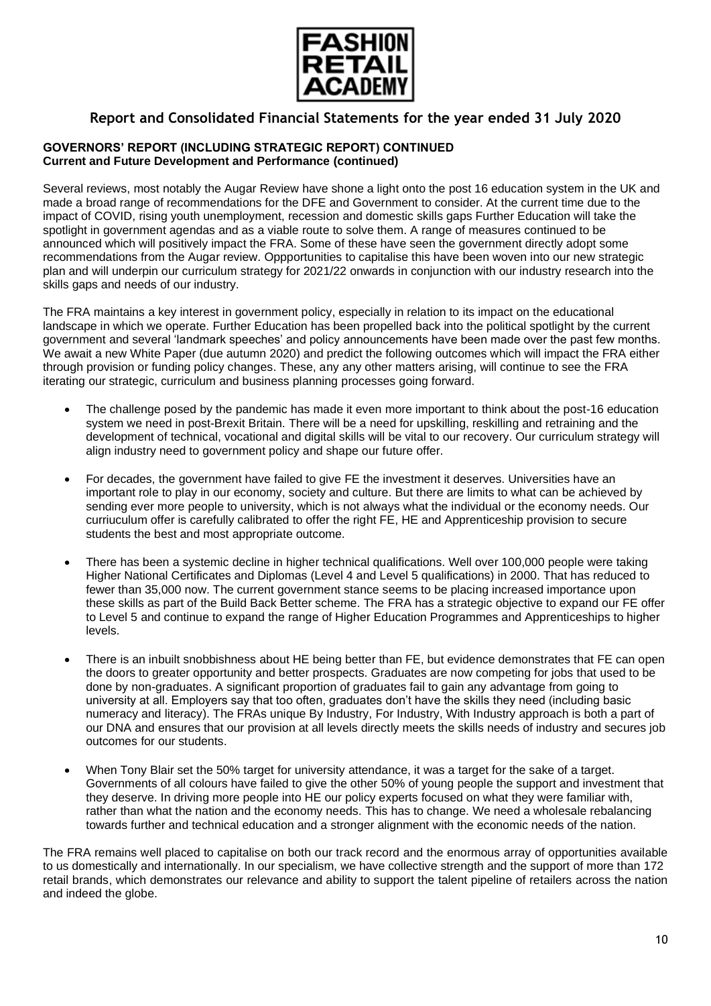

# **GOVERNORS' REPORT (INCLUDING STRATEGIC REPORT) CONTINUED Current and Future Development and Performance (continued)**

Several reviews, most notably the Augar Review have shone a light onto the post 16 education system in the UK and made a broad range of recommendations for the DFE and Government to consider. At the current time due to the impact of COVID, rising youth unemployment, recession and domestic skills gaps Further Education will take the spotlight in government agendas and as a viable route to solve them. A range of measures continued to be announced which will positively impact the FRA. Some of these have seen the government directly adopt some recommendations from the Augar review. Oppportunities to capitalise this have been woven into our new strategic plan and will underpin our curriculum strategy for 2021/22 onwards in conjunction with our industry research into the skills gaps and needs of our industry.

The FRA maintains a key interest in government policy, especially in relation to its impact on the educational landscape in which we operate. Further Education has been propelled back into the political spotlight by the current government and several 'landmark speeches' and policy announcements have been made over the past few months. We await a new White Paper (due autumn 2020) and predict the following outcomes which will impact the FRA either through provision or funding policy changes. These, any any other matters arising, will continue to see the FRA iterating our strategic, curriculum and business planning processes going forward.

- The challenge posed by the pandemic has made it even more important to think about the post-16 education system we need in post-Brexit Britain. There will be a need for upskilling, reskilling and retraining and the development of technical, vocational and digital skills will be vital to our recovery. Our curriculum strategy will align industry need to government policy and shape our future offer.
- For decades, the government have failed to give FE the investment it deserves. Universities have an important role to play in our economy, society and culture. But there are limits to what can be achieved by sending ever more people to university, which is not always what the individual or the economy needs. Our curriuculum offer is carefully calibrated to offer the right FE, HE and Apprenticeship provision to secure students the best and most appropriate outcome.
- There has been a systemic decline in higher technical qualifications. Well over 100,000 people were taking Higher National Certificates and Diplomas (Level 4 and Level 5 qualifications) in 2000. That has reduced to fewer than 35,000 now. The current government stance seems to be placing increased importance upon these skills as part of the Build Back Better scheme. The FRA has a strategic objective to expand our FE offer to Level 5 and continue to expand the range of Higher Education Programmes and Apprenticeships to higher levels.
- There is an inbuilt snobbishness about HE being better than FE, but evidence demonstrates that FE can open the doors to greater opportunity and better prospects. Graduates are now competing for jobs that used to be done by non-graduates. A significant proportion of graduates fail to gain any advantage from going to university at all. Employers say that too often, graduates don't have the skills they need (including basic numeracy and literacy). The FRAs unique By Industry, For Industry, With Industry approach is both a part of our DNA and ensures that our provision at all levels directly meets the skills needs of industry and secures job outcomes for our students.
- When Tony Blair set the 50% target for university attendance, it was a target for the sake of a target. Governments of all colours have failed to give the other 50% of young people the support and investment that they deserve. In driving more people into HE our policy experts focused on what they were familiar with, rather than what the nation and the economy needs. This has to change. We need a wholesale rebalancing towards further and technical education and a stronger alignment with the economic needs of the nation.

The FRA remains well placed to capitalise on both our track record and the enormous array of opportunities available to us domestically and internationally. In our specialism, we have collective strength and the support of more than 172 retail brands, which demonstrates our relevance and ability to support the talent pipeline of retailers across the nation and indeed the globe.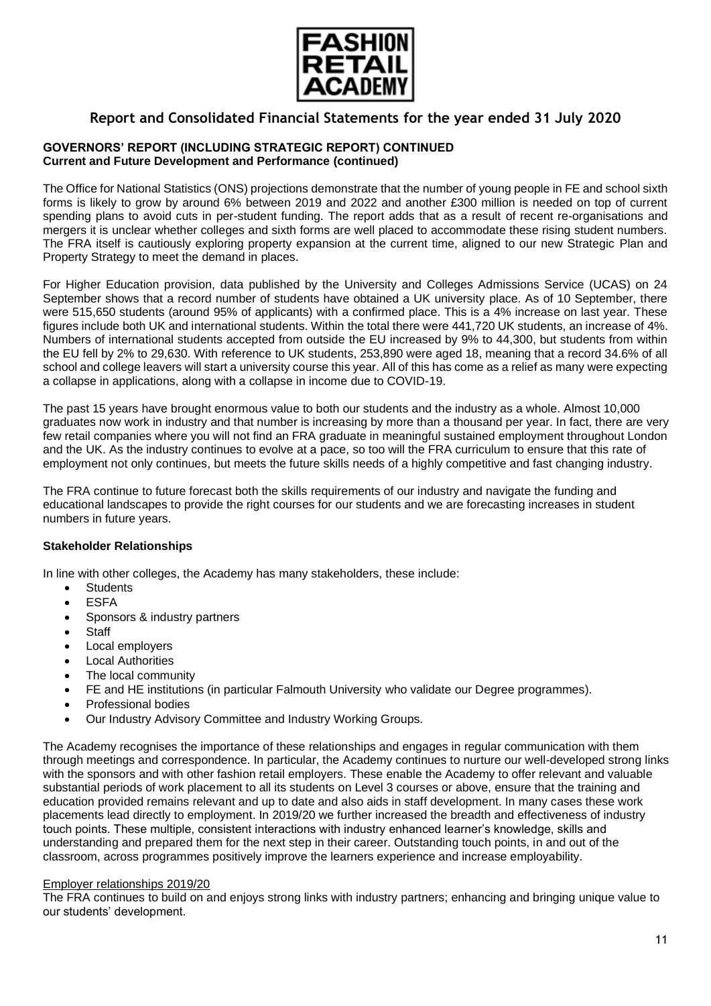

## **GOVERNORS' REPORT (INCLUDING STRATEGIC REPORT) CONTINUED Current and Future Development and Performance (continued)**

The Office for National Statistics (ONS) projections demonstrate that the number of young people in FE and school sixth forms is likely to grow by around 6% between 2019 and 2022 and another £300 million is needed on top of current spending plans to avoid cuts in per-student funding. The report adds that as a result of recent re-organisations and mergers it is unclear whether colleges and sixth forms are well placed to accommodate these rising student numbers. The FRA itself is cautiously exploring property expansion at the current time, aligned to our new Strategic Plan and Property Strategy to meet the demand in places.

For Higher Education provision, data published by the University and Colleges Admissions Service (UCAS) on 24 September shows that a record number of students have obtained a UK university place. As of 10 September, there were 515,650 students (around 95% of applicants) with a confirmed place. This is a 4% increase on last year. These figures include both UK and international students. Within the total there were 441,720 UK students, an increase of 4%. Numbers of international students accepted from outside the EU increased by 9% to 44,300, but students from within the EU fell by 2% to 29,630. With reference to UK students, 253,890 were aged 18, meaning that a record 34.6% of all school and college leavers will start a university course this year. All of this has come as a relief as many were expecting a collapse in applications, along with a collapse in income due to COVID-19.

The past 15 years have brought enormous value to both our students and the industry as a whole. Almost 10,000 graduates now work in industry and that number is increasing by more than a thousand per year. In fact, there are very few retail companies where you will not find an FRA graduate in meaningful sustained employment throughout London and the UK. As the industry continues to evolve at a pace, so too will the FRA curriculum to ensure that this rate of employment not only continues, but meets the future skills needs of a highly competitive and fast changing industry.

The FRA continue to future forecast both the skills requirements of our industry and navigate the funding and educational landscapes to provide the right courses for our students and we are forecasting increases in student numbers in future years.

### **Stakeholder Relationships**

In line with other colleges, the Academy has many stakeholders, these include:

- Students
- ESFA
- Sponsors & industry partners
- Staff
- Local employers
- **Local Authorities**
- The local community
- FE and HE institutions (in particular Falmouth University who validate our Degree programmes).
- Professional bodies
- Our Industry Advisory Committee and Industry Working Groups.

The Academy recognises the importance of these relationships and engages in regular communication with them through meetings and correspondence. In particular, the Academy continues to nurture our well-developed strong links with the sponsors and with other fashion retail employers. These enable the Academy to offer relevant and valuable substantial periods of work placement to all its students on Level 3 courses or above, ensure that the training and education provided remains relevant and up to date and also aids in staff development. In many cases these work placements lead directly to employment. In 2019/20 we further increased the breadth and effectiveness of industry touch points. These multiple, consistent interactions with industry enhanced learner's knowledge, skills and understanding and prepared them for the next step in their career. Outstanding touch points, in and out of the classroom, across programmes positively improve the learners experience and increase employability.

#### Employer relationships 2019/20

The FRA continues to build on and enjoys strong links with industry partners; enhancing and bringing unique value to our students' development.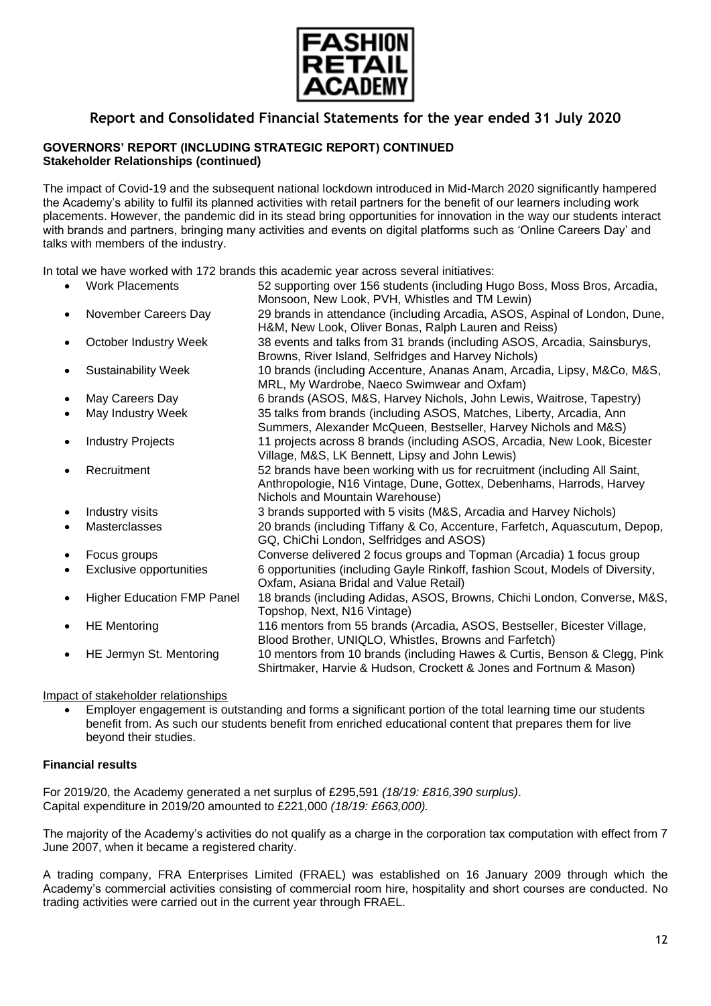

### **GOVERNORS' REPORT (INCLUDING STRATEGIC REPORT) CONTINUED Stakeholder Relationships (continued)**

The impact of Covid-19 and the subsequent national lockdown introduced in Mid-March 2020 significantly hampered the Academy's ability to fulfil its planned activities with retail partners for the benefit of our learners including work placements. However, the pandemic did in its stead bring opportunities for innovation in the way our students interact with brands and partners, bringing many activities and events on digital platforms such as 'Online Careers Day' and talks with members of the industry.

In total we have worked with 172 brands this academic year across several initiatives:

| <b>Work Placements</b>            | 52 supporting over 156 students (including Hugo Boss, Moss Bros, Arcadia,<br>Monsoon, New Look, PVH, Whistles and TM Lewin)                                                          |
|-----------------------------------|--------------------------------------------------------------------------------------------------------------------------------------------------------------------------------------|
| November Careers Day              | 29 brands in attendance (including Arcadia, ASOS, Aspinal of London, Dune,<br>H&M, New Look, Oliver Bonas, Ralph Lauren and Reiss)                                                   |
| October Industry Week             | 38 events and talks from 31 brands (including ASOS, Arcadia, Sainsburys,<br>Browns, River Island, Selfridges and Harvey Nichols)                                                     |
| <b>Sustainability Week</b>        | 10 brands (including Accenture, Ananas Anam, Arcadia, Lipsy, M&Co, M&S,<br>MRL, My Wardrobe, Naeco Swimwear and Oxfam)                                                               |
| May Careers Day                   | 6 brands (ASOS, M&S, Harvey Nichols, John Lewis, Waitrose, Tapestry)                                                                                                                 |
| May Industry Week                 | 35 talks from brands (including ASOS, Matches, Liberty, Arcadia, Ann<br>Summers, Alexander McQueen, Bestseller, Harvey Nichols and M&S)                                              |
| <b>Industry Projects</b>          | 11 projects across 8 brands (including ASOS, Arcadia, New Look, Bicester<br>Village, M&S, LK Bennett, Lipsy and John Lewis)                                                          |
| Recruitment                       | 52 brands have been working with us for recruitment (including All Saint,<br>Anthropologie, N16 Vintage, Dune, Gottex, Debenhams, Harrods, Harvey<br>Nichols and Mountain Warehouse) |
| Industry visits                   | 3 brands supported with 5 visits (M&S, Arcadia and Harvey Nichols)                                                                                                                   |
| Masterclasses                     | 20 brands (including Tiffany & Co, Accenture, Farfetch, Aquascutum, Depop,<br>GQ, ChiChi London, Selfridges and ASOS)                                                                |
| Focus groups                      | Converse delivered 2 focus groups and Topman (Arcadia) 1 focus group                                                                                                                 |
| Exclusive opportunities           | 6 opportunities (including Gayle Rinkoff, fashion Scout, Models of Diversity,<br>Oxfam, Asiana Bridal and Value Retail)                                                              |
| <b>Higher Education FMP Panel</b> | 18 brands (including Adidas, ASOS, Browns, Chichi London, Converse, M&S,<br>Topshop, Next, N16 Vintage)                                                                              |
| <b>HE</b> Mentoring               | 116 mentors from 55 brands (Arcadia, ASOS, Bestseller, Bicester Village,<br>Blood Brother, UNIQLO, Whistles, Browns and Farfetch)                                                    |
| HE Jermyn St. Mentoring           | 10 mentors from 10 brands (including Hawes & Curtis, Benson & Clegg, Pink<br>Shirtmaker, Harvie & Hudson, Crockett & Jones and Fortnum & Mason)                                      |

Impact of stakeholder relationships

• Employer engagement is outstanding and forms a significant portion of the total learning time our students benefit from. As such our students benefit from enriched educational content that prepares them for live beyond their studies.

### **Financial results**

For 2019/20, the Academy generated a net surplus of £295,591 *(18/19: £816,390 surplus)*. Capital expenditure in 2019/20 amounted to £221,000 *(18/19: £663,000).*

The majority of the Academy's activities do not qualify as a charge in the corporation tax computation with effect from 7 June 2007, when it became a registered charity.

A trading company, FRA Enterprises Limited (FRAEL) was established on 16 January 2009 through which the Academy's commercial activities consisting of commercial room hire, hospitality and short courses are conducted. No trading activities were carried out in the current year through FRAEL.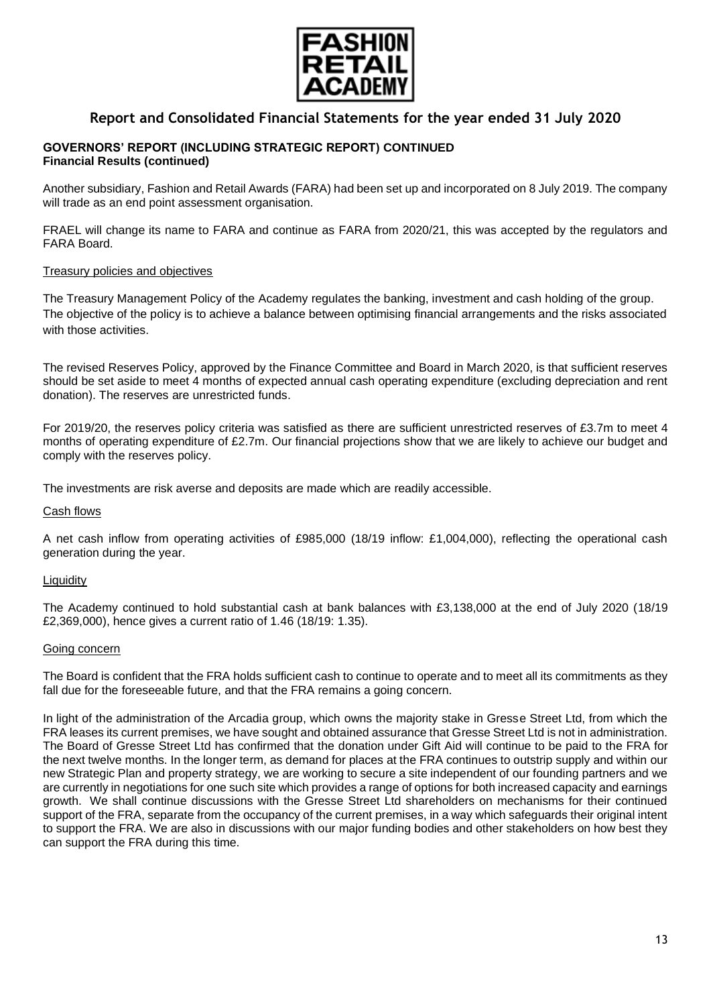

### **GOVERNORS' REPORT (INCLUDING STRATEGIC REPORT) CONTINUED Financial Results (continued)**

Another subsidiary, Fashion and Retail Awards (FARA) had been set up and incorporated on 8 July 2019. The company will trade as an end point assessment organisation.

FRAEL will change its name to FARA and continue as FARA from 2020/21, this was accepted by the regulators and FARA Board.

### Treasury policies and objectives

The Treasury Management Policy of the Academy regulates the banking, investment and cash holding of the group. The objective of the policy is to achieve a balance between optimising financial arrangements and the risks associated with those activities.

The revised Reserves Policy, approved by the Finance Committee and Board in March 2020, is that sufficient reserves should be set aside to meet 4 months of expected annual cash operating expenditure (excluding depreciation and rent donation). The reserves are unrestricted funds.

For 2019/20, the reserves policy criteria was satisfied as there are sufficient unrestricted reserves of £3.7m to meet 4 months of operating expenditure of £2.7m. Our financial projections show that we are likely to achieve our budget and comply with the reserves policy.

The investments are risk averse and deposits are made which are readily accessible.

#### Cash flows

A net cash inflow from operating activities of £985,000 (18/19 inflow: £1,004,000), reflecting the operational cash generation during the year.

### Liquidity

The Academy continued to hold substantial cash at bank balances with £3,138,000 at the end of July 2020 (18/19 £2,369,000), hence gives a current ratio of 1.46 (18/19: 1.35).

#### Going concern

The Board is confident that the FRA holds sufficient cash to continue to operate and to meet all its commitments as they fall due for the foreseeable future, and that the FRA remains a going concern.

In light of the administration of the Arcadia group, which owns the majority stake in Gresse Street Ltd, from which the FRA leases its current premises, we have sought and obtained assurance that Gresse Street Ltd is not in administration. The Board of Gresse Street Ltd has confirmed that the donation under Gift Aid will continue to be paid to the FRA for the next twelve months. In the longer term, as demand for places at the FRA continues to outstrip supply and within our new Strategic Plan and property strategy, we are working to secure a site independent of our founding partners and we are currently in negotiations for one such site which provides a range of options for both increased capacity and earnings growth. We shall continue discussions with the Gresse Street Ltd shareholders on mechanisms for their continued support of the FRA, separate from the occupancy of the current premises, in a way which safeguards their original intent to support the FRA. We are also in discussions with our major funding bodies and other stakeholders on how best they can support the FRA during this time.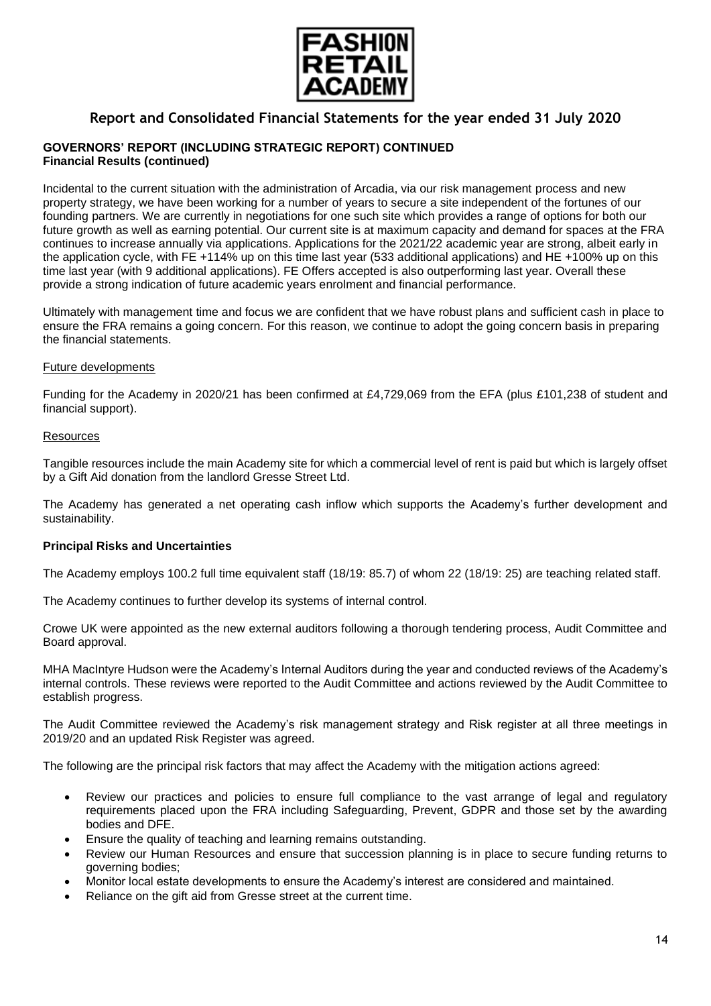

### **GOVERNORS' REPORT (INCLUDING STRATEGIC REPORT) CONTINUED Financial Results (continued)**

Incidental to the current situation with the administration of Arcadia, via our risk management process and new property strategy, we have been working for a number of years to secure a site independent of the fortunes of our founding partners. We are currently in negotiations for one such site which provides a range of options for both our future growth as well as earning potential. Our current site is at maximum capacity and demand for spaces at the FRA continues to increase annually via applications. Applications for the 2021/22 academic year are strong, albeit early in the application cycle, with FE +114% up on this time last year (533 additional applications) and HE +100% up on this time last year (with 9 additional applications). FE Offers accepted is also outperforming last year. Overall these provide a strong indication of future academic years enrolment and financial performance.

Ultimately with management time and focus we are confident that we have robust plans and sufficient cash in place to ensure the FRA remains a going concern. For this reason, we continue to adopt the going concern basis in preparing the financial statements.

#### Future developments

Funding for the Academy in 2020/21 has been confirmed at £4,729,069 from the EFA (plus £101,238 of student and financial support).

#### **Resources**

Tangible resources include the main Academy site for which a commercial level of rent is paid but which is largely offset by a Gift Aid donation from the landlord Gresse Street Ltd.

The Academy has generated a net operating cash inflow which supports the Academy's further development and sustainability.

#### **Principal Risks and Uncertainties**

The Academy employs 100.2 full time equivalent staff (18/19: 85.7) of whom 22 (18/19: 25) are teaching related staff.

The Academy continues to further develop its systems of internal control.

Crowe UK were appointed as the new external auditors following a thorough tendering process, Audit Committee and Board approval.

MHA MacIntyre Hudson were the Academy's Internal Auditors during the year and conducted reviews of the Academy's internal controls. These reviews were reported to the Audit Committee and actions reviewed by the Audit Committee to establish progress.

The Audit Committee reviewed the Academy's risk management strategy and Risk register at all three meetings in 2019/20 and an updated Risk Register was agreed.

The following are the principal risk factors that may affect the Academy with the mitigation actions agreed:

- Review our practices and policies to ensure full compliance to the vast arrange of legal and regulatory requirements placed upon the FRA including Safeguarding, Prevent, GDPR and those set by the awarding bodies and DFE.
- Ensure the quality of teaching and learning remains outstanding.
- Review our Human Resources and ensure that succession planning is in place to secure funding returns to governing bodies;
- Monitor local estate developments to ensure the Academy's interest are considered and maintained.
- Reliance on the gift aid from Gresse street at the current time.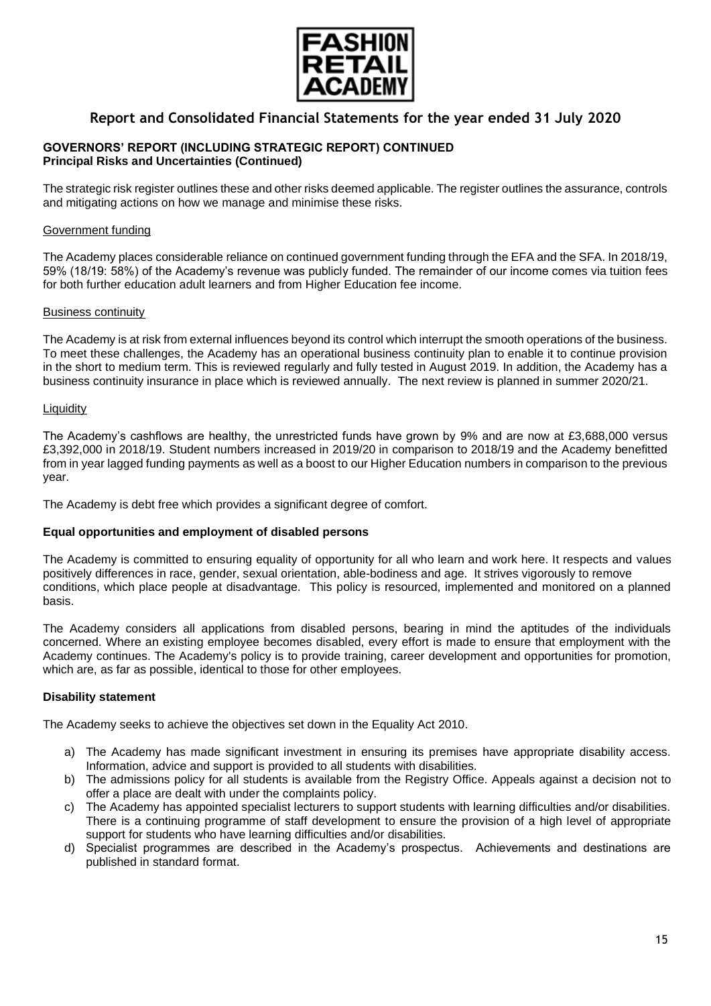

### **GOVERNORS' REPORT (INCLUDING STRATEGIC REPORT) CONTINUED Principal Risks and Uncertainties (Continued)**

The strategic risk register outlines these and other risks deemed applicable. The register outlines the assurance, controls and mitigating actions on how we manage and minimise these risks.

#### Government funding

The Academy places considerable reliance on continued government funding through the EFA and the SFA. In 2018/19, 59% (18/19: 58%) of the Academy's revenue was publicly funded. The remainder of our income comes via tuition fees for both further education adult learners and from Higher Education fee income.

#### Business continuity

The Academy is at risk from external influences beyond its control which interrupt the smooth operations of the business. To meet these challenges, the Academy has an operational business continuity plan to enable it to continue provision in the short to medium term. This is reviewed regularly and fully tested in August 2019. In addition, the Academy has a business continuity insurance in place which is reviewed annually. The next review is planned in summer 2020/21.

#### Liquidity

The Academy's cashflows are healthy, the unrestricted funds have grown by 9% and are now at £3,688,000 versus £3,392,000 in 2018/19. Student numbers increased in 2019/20 in comparison to 2018/19 and the Academy benefitted from in year lagged funding payments as well as a boost to our Higher Education numbers in comparison to the previous year.

The Academy is debt free which provides a significant degree of comfort.

#### **Equal opportunities and employment of disabled persons**

The Academy is committed to ensuring equality of opportunity for all who learn and work here. It respects and values positively differences in race, gender, sexual orientation, able-bodiness and age. It strives vigorously to remove conditions, which place people at disadvantage. This policy is resourced, implemented and monitored on a planned basis.

The Academy considers all applications from disabled persons, bearing in mind the aptitudes of the individuals concerned. Where an existing employee becomes disabled, every effort is made to ensure that employment with the Academy continues. The Academy's policy is to provide training, career development and opportunities for promotion, which are, as far as possible, identical to those for other employees.

### **Disability statement**

The Academy seeks to achieve the objectives set down in the Equality Act 2010.

- a) The Academy has made significant investment in ensuring its premises have appropriate disability access. Information, advice and support is provided to all students with disabilities.
- b) The admissions policy for all students is available from the Registry Office. Appeals against a decision not to offer a place are dealt with under the complaints policy.
- c) The Academy has appointed specialist lecturers to support students with learning difficulties and/or disabilities. There is a continuing programme of staff development to ensure the provision of a high level of appropriate support for students who have learning difficulties and/or disabilities.
- d) Specialist programmes are described in the Academy's prospectus. Achievements and destinations are published in standard format.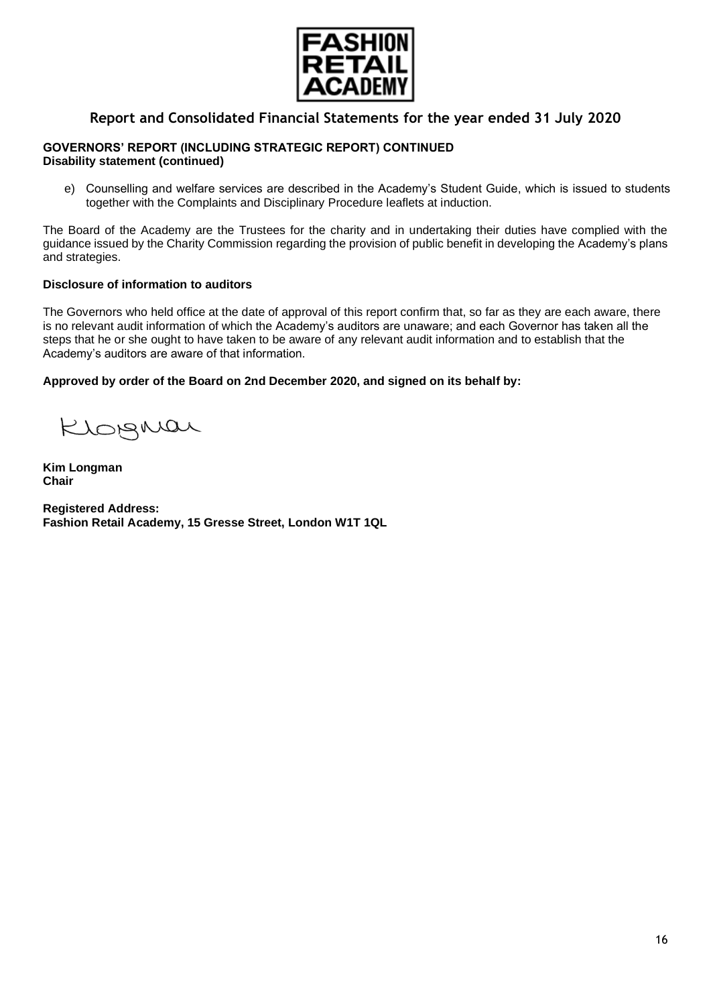

### **GOVERNORS' REPORT (INCLUDING STRATEGIC REPORT) CONTINUED Disability statement (continued)**

e) Counselling and welfare services are described in the Academy's Student Guide, which is issued to students together with the Complaints and Disciplinary Procedure leaflets at induction.

The Board of the Academy are the Trustees for the charity and in undertaking their duties have complied with the guidance issued by the Charity Commission regarding the provision of public benefit in developing the Academy's plans and strategies.

## **Disclosure of information to auditors**

The Governors who held office at the date of approval of this report confirm that, so far as they are each aware, there is no relevant audit information of which the Academy's auditors are unaware; and each Governor has taken all the steps that he or she ought to have taken to be aware of any relevant audit information and to establish that the Academy's auditors are aware of that information.

## **Approved by order of the Board on 2nd December 2020, and signed on its behalf by:**

Klophan

**Kim Longman Chair**

**Registered Address: Fashion Retail Academy, 15 Gresse Street, London W1T 1QL**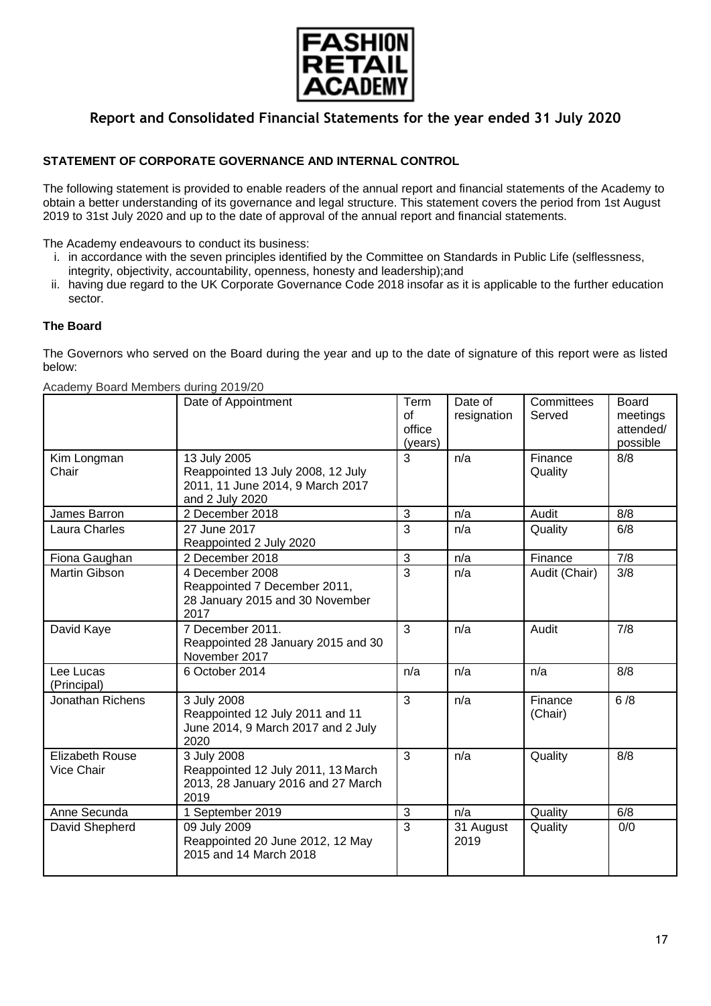

# **STATEMENT OF CORPORATE GOVERNANCE AND INTERNAL CONTROL**

The following statement is provided to enable readers of the annual report and financial statements of the Academy to obtain a better understanding of its governance and legal structure. This statement covers the period from 1st August 2019 to 31st July 2020 and up to the date of approval of the annual report and financial statements.

The Academy endeavours to conduct its business:

- i. in accordance with the seven principles identified by the Committee on Standards in Public Life (selflessness, integrity, objectivity, accountability, openness, honesty and leadership);and
- ii. having due regard to the UK Corporate Governance Code 2018 insofar as it is applicable to the further education sector.

### **The Board**

The Governors who served on the Board during the year and up to the date of signature of this report were as listed below:

|                                      | Date of Appointment                                                                                      | Term<br><b>of</b><br>office<br>(years) | Date of<br>resignation | Committees<br>Served | <b>Board</b><br>meetings<br>attended/<br>possible |
|--------------------------------------|----------------------------------------------------------------------------------------------------------|----------------------------------------|------------------------|----------------------|---------------------------------------------------|
| Kim Longman<br>Chair                 | 13 July 2005<br>Reappointed 13 July 2008, 12 July<br>2011, 11 June 2014, 9 March 2017<br>and 2 July 2020 | 3                                      | n/a                    | Finance<br>Quality   | 8/8                                               |
| James Barron                         | 2 December 2018                                                                                          | $\overline{3}$                         | n/a                    | Audit                | 8/8                                               |
| Laura Charles                        | 27 June 2017<br>Reappointed 2 July 2020                                                                  | $\overline{3}$                         | n/a                    | Quality              | 6/8                                               |
| Fiona Gaughan                        | 2 December 2018                                                                                          | 3                                      | n/a                    | Finance              | 7/8                                               |
| <b>Martin Gibson</b>                 | 4 December 2008<br>Reappointed 7 December 2011,<br>28 January 2015 and 30 November<br>2017               | $\overline{3}$                         | n/a                    | Audit (Chair)        | 3/8                                               |
| David Kaye                           | 7 December 2011.<br>Reappointed 28 January 2015 and 30<br>November 2017                                  | 3                                      | n/a                    | Audit                | 7/8                                               |
| Lee Lucas<br>(Principal)             | 6 October 2014                                                                                           | n/a                                    | n/a                    | n/a                  | 8/8                                               |
| Jonathan Richens                     | 3 July 2008<br>Reappointed 12 July 2011 and 11<br>June 2014, 9 March 2017 and 2 July<br>2020             | 3                                      | n/a                    | Finance<br>(Chair)   | 6/8                                               |
| <b>Elizabeth Rouse</b><br>Vice Chair | 3 July 2008<br>Reappointed 12 July 2011, 13 March<br>2013, 28 January 2016 and 27 March<br>2019          | 3                                      | n/a                    | Quality              | 8/8                                               |
| Anne Secunda                         | 1 September 2019                                                                                         | $\overline{3}$                         | n/a                    | Quality              | 6/8                                               |
| David Shepherd                       | 09 July 2009<br>Reappointed 20 June 2012, 12 May<br>2015 and 14 March 2018                               | $\overline{3}$                         | 31 August<br>2019      | Quality              | 0/0                                               |

Academy Board Members during 2019/20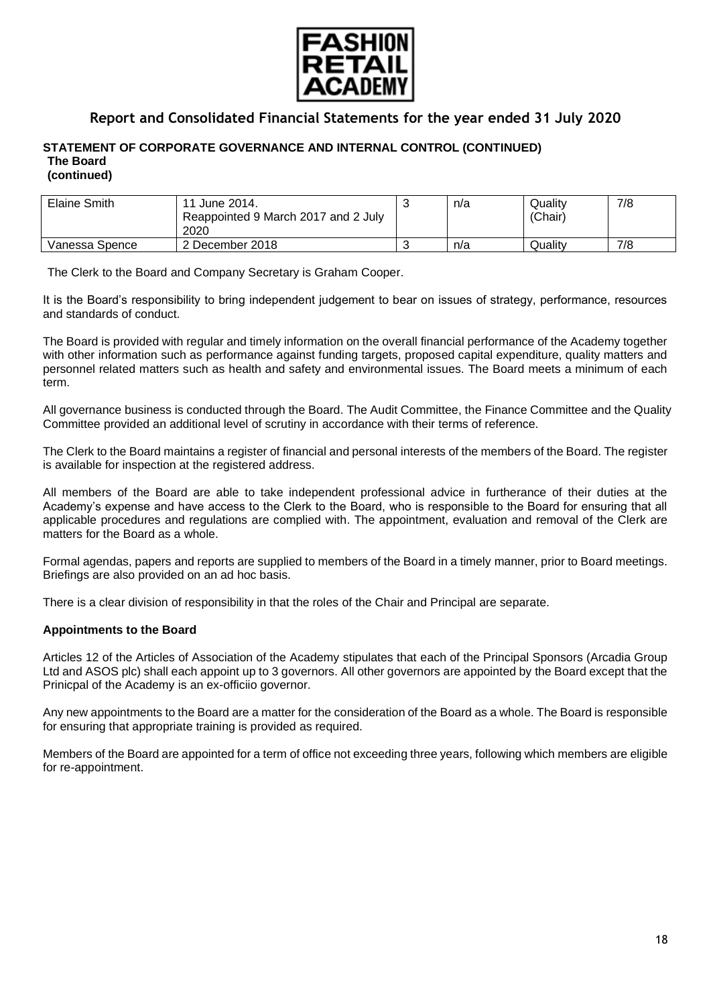

#### **STATEMENT OF CORPORATE GOVERNANCE AND INTERNAL CONTROL (CONTINUED) The Board (continued)**

| <b>Elaine Smith</b> | <sup>1</sup> June 2014.<br>11       | n/a | Quality | 7/8 |
|---------------------|-------------------------------------|-----|---------|-----|
|                     | Reappointed 9 March 2017 and 2 July |     | (Chair) |     |
|                     | 2020                                |     |         |     |
| Vanessa Spence      | 2 December 2018                     | n/a | Quality | 7/8 |

The Clerk to the Board and Company Secretary is Graham Cooper.

It is the Board's responsibility to bring independent judgement to bear on issues of strategy, performance, resources and standards of conduct.

The Board is provided with regular and timely information on the overall financial performance of the Academy together with other information such as performance against funding targets, proposed capital expenditure, quality matters and personnel related matters such as health and safety and environmental issues. The Board meets a minimum of each term.

All governance business is conducted through the Board. The Audit Committee, the Finance Committee and the Quality Committee provided an additional level of scrutiny in accordance with their terms of reference.

The Clerk to the Board maintains a register of financial and personal interests of the members of the Board. The register is available for inspection at the registered address.

All members of the Board are able to take independent professional advice in furtherance of their duties at the Academy's expense and have access to the Clerk to the Board, who is responsible to the Board for ensuring that all applicable procedures and regulations are complied with. The appointment, evaluation and removal of the Clerk are matters for the Board as a whole.

Formal agendas, papers and reports are supplied to members of the Board in a timely manner, prior to Board meetings. Briefings are also provided on an ad hoc basis.

There is a clear division of responsibility in that the roles of the Chair and Principal are separate.

### **Appointments to the Board**

Articles 12 of the Articles of Association of the Academy stipulates that each of the Principal Sponsors (Arcadia Group Ltd and ASOS plc) shall each appoint up to 3 governors. All other governors are appointed by the Board except that the Prinicpal of the Academy is an ex-officiio governor.

Any new appointments to the Board are a matter for the consideration of the Board as a whole. The Board is responsible for ensuring that appropriate training is provided as required.

Members of the Board are appointed for a term of office not exceeding three years, following which members are eligible for re-appointment.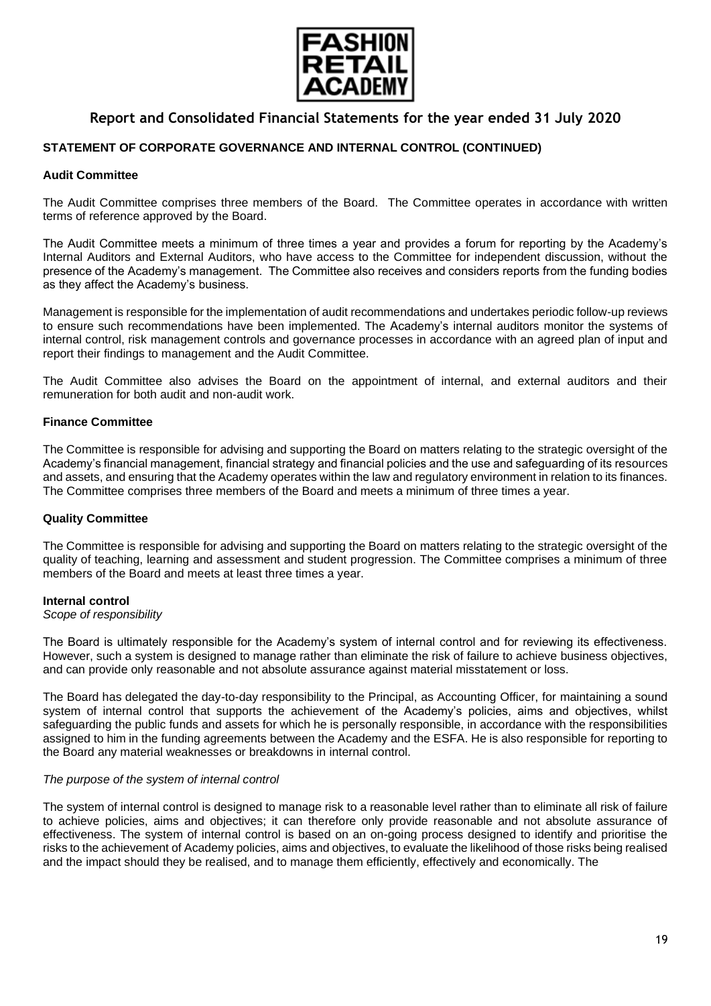

# **STATEMENT OF CORPORATE GOVERNANCE AND INTERNAL CONTROL (CONTINUED)**

#### **Audit Committee**

The Audit Committee comprises three members of the Board. The Committee operates in accordance with written terms of reference approved by the Board.

The Audit Committee meets a minimum of three times a year and provides a forum for reporting by the Academy's Internal Auditors and External Auditors, who have access to the Committee for independent discussion, without the presence of the Academy's management. The Committee also receives and considers reports from the funding bodies as they affect the Academy's business.

Management is responsible for the implementation of audit recommendations and undertakes periodic follow-up reviews to ensure such recommendations have been implemented. The Academy's internal auditors monitor the systems of internal control, risk management controls and governance processes in accordance with an agreed plan of input and report their findings to management and the Audit Committee.

The Audit Committee also advises the Board on the appointment of internal, and external auditors and their remuneration for both audit and non-audit work.

#### **Finance Committee**

The Committee is responsible for advising and supporting the Board on matters relating to the strategic oversight of the Academy's financial management, financial strategy and financial policies and the use and safeguarding of its resources and assets, and ensuring that the Academy operates within the law and regulatory environment in relation to its finances. The Committee comprises three members of the Board and meets a minimum of three times a year.

#### **Quality Committee**

The Committee is responsible for advising and supporting the Board on matters relating to the strategic oversight of the quality of teaching, learning and assessment and student progression. The Committee comprises a minimum of three members of the Board and meets at least three times a year.

### **Internal control**

#### *Scope of responsibility*

The Board is ultimately responsible for the Academy's system of internal control and for reviewing its effectiveness. However, such a system is designed to manage rather than eliminate the risk of failure to achieve business objectives, and can provide only reasonable and not absolute assurance against material misstatement or loss.

The Board has delegated the day-to-day responsibility to the Principal, as Accounting Officer, for maintaining a sound system of internal control that supports the achievement of the Academy's policies, aims and objectives, whilst safeguarding the public funds and assets for which he is personally responsible, in accordance with the responsibilities assigned to him in the funding agreements between the Academy and the ESFA. He is also responsible for reporting to the Board any material weaknesses or breakdowns in internal control.

#### *The purpose of the system of internal control*

The system of internal control is designed to manage risk to a reasonable level rather than to eliminate all risk of failure to achieve policies, aims and objectives; it can therefore only provide reasonable and not absolute assurance of effectiveness. The system of internal control is based on an on-going process designed to identify and prioritise the risks to the achievement of Academy policies, aims and objectives, to evaluate the likelihood of those risks being realised and the impact should they be realised, and to manage them efficiently, effectively and economically. The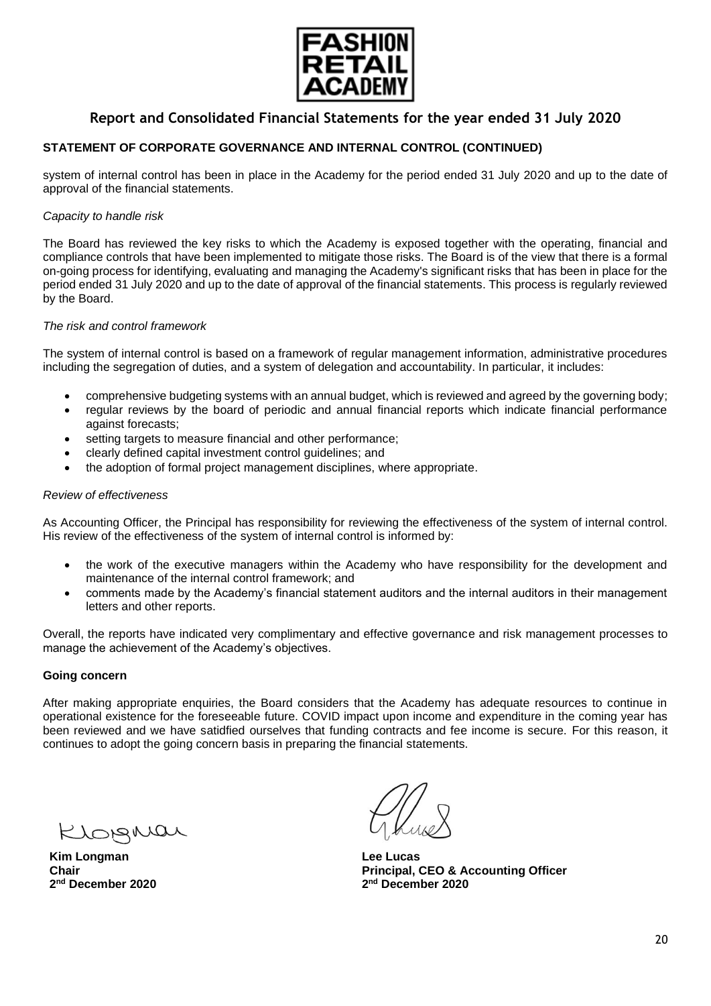

# **STATEMENT OF CORPORATE GOVERNANCE AND INTERNAL CONTROL (CONTINUED)**

system of internal control has been in place in the Academy for the period ended 31 July 2020 and up to the date of approval of the financial statements.

#### *Capacity to handle risk*

The Board has reviewed the key risks to which the Academy is exposed together with the operating, financial and compliance controls that have been implemented to mitigate those risks. The Board is of the view that there is a formal on-going process for identifying, evaluating and managing the Academy's significant risks that has been in place for the period ended 31 July 2020 and up to the date of approval of the financial statements. This process is regularly reviewed by the Board.

#### *The risk and control framework*

The system of internal control is based on a framework of regular management information, administrative procedures including the segregation of duties, and a system of delegation and accountability. In particular, it includes:

- comprehensive budgeting systems with an annual budget, which is reviewed and agreed by the governing body;
- regular reviews by the board of periodic and annual financial reports which indicate financial performance against forecasts;
- setting targets to measure financial and other performance:
- clearly defined capital investment control guidelines; and
- the adoption of formal project management disciplines, where appropriate.

### *Review of effectiveness*

As Accounting Officer, the Principal has responsibility for reviewing the effectiveness of the system of internal control. His review of the effectiveness of the system of internal control is informed by:

- the work of the executive managers within the Academy who have responsibility for the development and maintenance of the internal control framework; and
- comments made by the Academy's financial statement auditors and the internal auditors in their management letters and other reports.

Overall, the reports have indicated very complimentary and effective governance and risk management processes to manage the achievement of the Academy's objectives.

#### **Going concern**

After making appropriate enquiries, the Board considers that the Academy has adequate resources to continue in operational existence for the foreseeable future. COVID impact upon income and expenditure in the coming year has been reviewed and we have satidfied ourselves that funding contracts and fee income is secure. For this reason, it continues to adopt the going concern basis in preparing the financial statements.

KIOBNOI

**Kim Longman Chair 2 nd December 2020**

**Lee Lucas Principal, CEO & Accounting Officer 2 nd December 2020**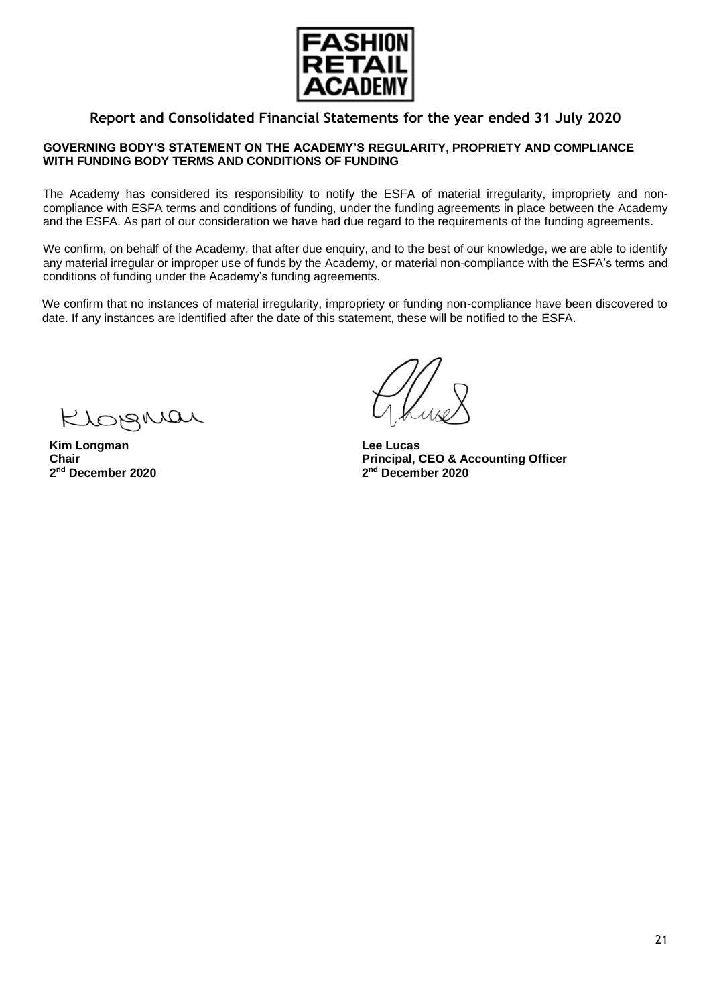

### **GOVERNING BODY'S STATEMENT ON THE ACADEMY'S REGULARITY, PROPRIETY AND COMPLIANCE WITH FUNDING BODY TERMS AND CONDITIONS OF FUNDING**

The Academy has considered its responsibility to notify the ESFA of material irregularity, impropriety and noncompliance with ESFA terms and conditions of funding, under the funding agreements in place between the Academy and the ESFA. As part of our consideration we have had due regard to the requirements of the funding agreements.

We confirm, on behalf of the Academy, that after due enquiry, and to the best of our knowledge, we are able to identify any material irregular or improper use of funds by the Academy, or material non-compliance with the ESFA's terms and conditions of funding under the Academy's funding agreements.

We confirm that no instances of material irregularity, impropriety or funding non-compliance have been discovered to date. If any instances are identified after the date of this statement, these will be notified to the ESFA.

Klopmar

**Kim Longman Chair 2 nd December 2020**

**Lee Lucas Principal, CEO & Accounting Officer 2 nd December 2020**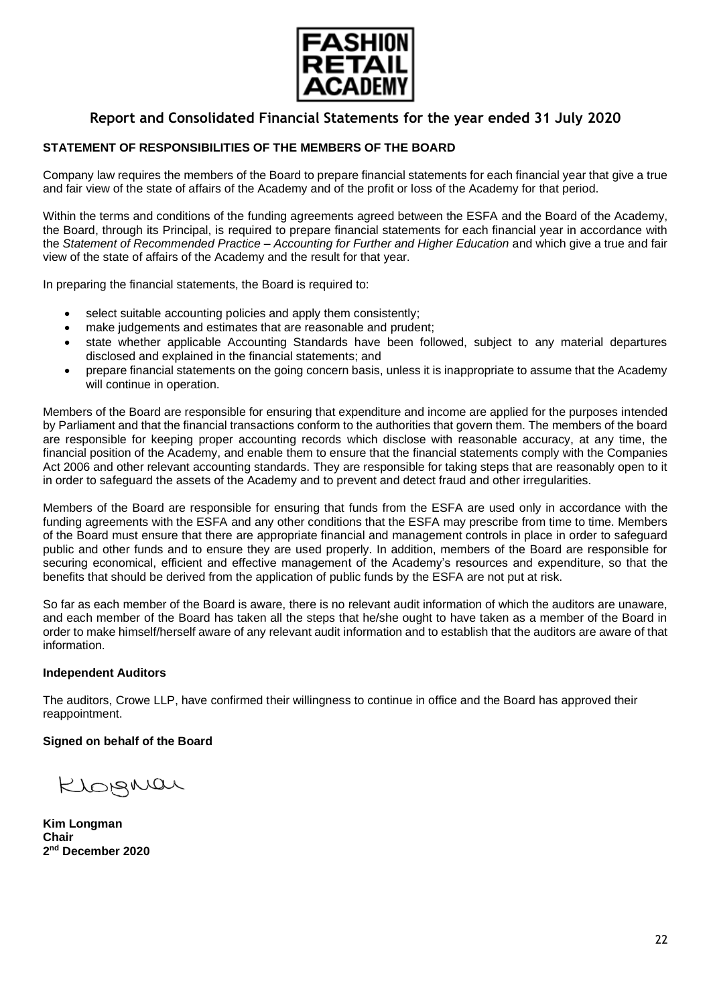

# **STATEMENT OF RESPONSIBILITIES OF THE MEMBERS OF THE BOARD**

Company law requires the members of the Board to prepare financial statements for each financial year that give a true and fair view of the state of affairs of the Academy and of the profit or loss of the Academy for that period.

Within the terms and conditions of the funding agreements agreed between the ESFA and the Board of the Academy, the Board, through its Principal, is required to prepare financial statements for each financial year in accordance with the *Statement of Recommended Practice – Accounting for Further and Higher Education* and which give a true and fair view of the state of affairs of the Academy and the result for that year.

In preparing the financial statements, the Board is required to:

- select suitable accounting policies and apply them consistently;
- make judgements and estimates that are reasonable and prudent;
- state whether applicable Accounting Standards have been followed, subject to any material departures disclosed and explained in the financial statements; and
- prepare financial statements on the going concern basis, unless it is inappropriate to assume that the Academy will continue in operation.

Members of the Board are responsible for ensuring that expenditure and income are applied for the purposes intended by Parliament and that the financial transactions conform to the authorities that govern them. The members of the board are responsible for keeping proper accounting records which disclose with reasonable accuracy, at any time, the financial position of the Academy, and enable them to ensure that the financial statements comply with the Companies Act 2006 and other relevant accounting standards. They are responsible for taking steps that are reasonably open to it in order to safeguard the assets of the Academy and to prevent and detect fraud and other irregularities.

Members of the Board are responsible for ensuring that funds from the ESFA are used only in accordance with the funding agreements with the ESFA and any other conditions that the ESFA may prescribe from time to time. Members of the Board must ensure that there are appropriate financial and management controls in place in order to safeguard public and other funds and to ensure they are used properly. In addition, members of the Board are responsible for securing economical, efficient and effective management of the Academy's resources and expenditure, so that the benefits that should be derived from the application of public funds by the ESFA are not put at risk.

So far as each member of the Board is aware, there is no relevant audit information of which the auditors are unaware, and each member of the Board has taken all the steps that he/she ought to have taken as a member of the Board in order to make himself/herself aware of any relevant audit information and to establish that the auditors are aware of that information.

#### **Independent Auditors**

The auditors, Crowe LLP, have confirmed their willingness to continue in office and the Board has approved their reappointment.

#### **Signed on behalf of the Board**

Klophan

**Kim Longman Chair 2 nd December 2020**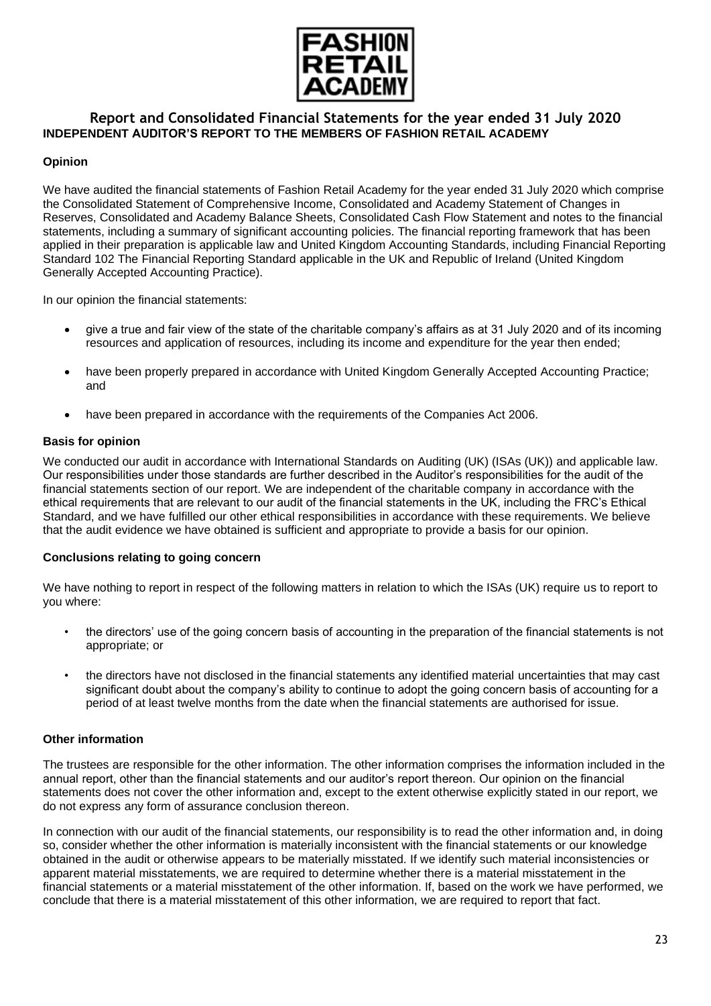

# **Report and Consolidated Financial Statements for the year ended 31 July 2020 INDEPENDENT AUDITOR'S REPORT TO THE MEMBERS OF FASHION RETAIL ACADEMY**

## **Opinion**

We have audited the financial statements of Fashion Retail Academy for the year ended 31 July 2020 which comprise the Consolidated Statement of Comprehensive Income, Consolidated and Academy Statement of Changes in Reserves, Consolidated and Academy Balance Sheets, Consolidated Cash Flow Statement and notes to the financial statements, including a summary of significant accounting policies. The financial reporting framework that has been applied in their preparation is applicable law and United Kingdom Accounting Standards, including Financial Reporting Standard 102 The Financial Reporting Standard applicable in the UK and Republic of Ireland (United Kingdom Generally Accepted Accounting Practice).

In our opinion the financial statements:

- give a true and fair view of the state of the charitable company's affairs as at 31 July 2020 and of its incoming resources and application of resources, including its income and expenditure for the year then ended;
- have been properly prepared in accordance with United Kingdom Generally Accepted Accounting Practice; and
- have been prepared in accordance with the requirements of the Companies Act 2006.

#### **Basis for opinion**

We conducted our audit in accordance with International Standards on Auditing (UK) (ISAs (UK)) and applicable law. Our responsibilities under those standards are further described in the Auditor's responsibilities for the audit of the financial statements section of our report. We are independent of the charitable company in accordance with the ethical requirements that are relevant to our audit of the financial statements in the UK, including the FRC's Ethical Standard, and we have fulfilled our other ethical responsibilities in accordance with these requirements. We believe that the audit evidence we have obtained is sufficient and appropriate to provide a basis for our opinion.

### **Conclusions relating to going concern**

We have nothing to report in respect of the following matters in relation to which the ISAs (UK) require us to report to you where:

- the directors' use of the going concern basis of accounting in the preparation of the financial statements is not appropriate; or
- the directors have not disclosed in the financial statements any identified material uncertainties that may cast significant doubt about the company's ability to continue to adopt the going concern basis of accounting for a period of at least twelve months from the date when the financial statements are authorised for issue.

### **Other information**

The trustees are responsible for the other information. The other information comprises the information included in the annual report, other than the financial statements and our auditor's report thereon. Our opinion on the financial statements does not cover the other information and, except to the extent otherwise explicitly stated in our report, we do not express any form of assurance conclusion thereon.

In connection with our audit of the financial statements, our responsibility is to read the other information and, in doing so, consider whether the other information is materially inconsistent with the financial statements or our knowledge obtained in the audit or otherwise appears to be materially misstated. If we identify such material inconsistencies or apparent material misstatements, we are required to determine whether there is a material misstatement in the financial statements or a material misstatement of the other information. If, based on the work we have performed, we conclude that there is a material misstatement of this other information, we are required to report that fact.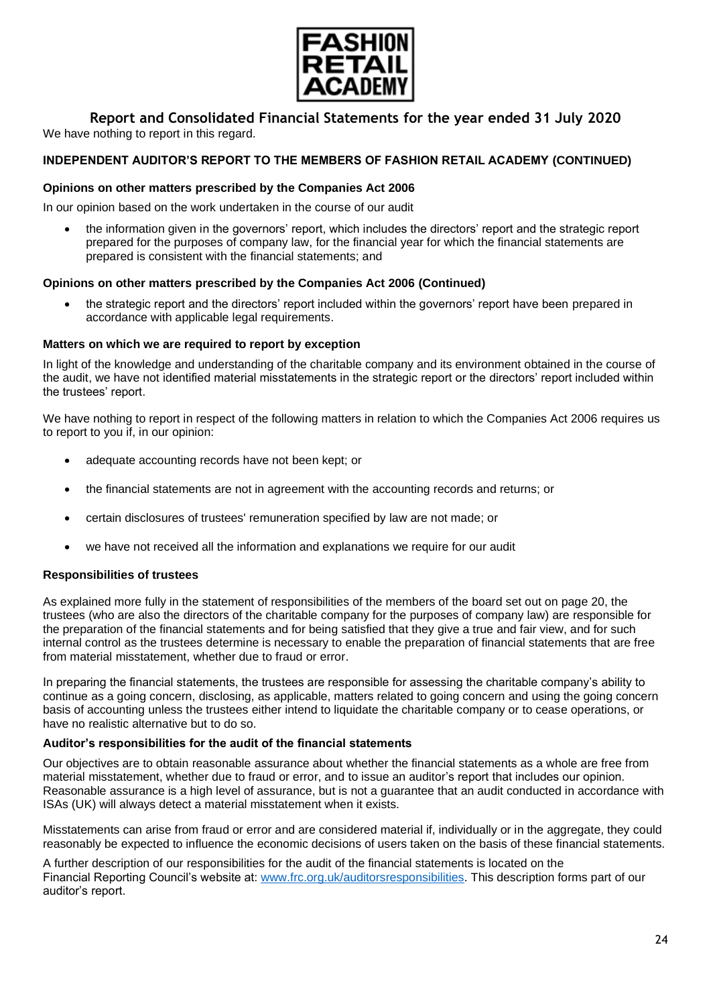

**Report and Consolidated Financial Statements for the year ended 31 July 2020** We have nothing to report in this regard.

## **INDEPENDENT AUDITOR'S REPORT TO THE MEMBERS OF FASHION RETAIL ACADEMY (CONTINUED)**

#### **Opinions on other matters prescribed by the Companies Act 2006**

In our opinion based on the work undertaken in the course of our audit

• the information given in the governors' report, which includes the directors' report and the strategic report prepared for the purposes of company law, for the financial year for which the financial statements are prepared is consistent with the financial statements; and

#### **Opinions on other matters prescribed by the Companies Act 2006 (Continued)**

• the strategic report and the directors' report included within the governors' report have been prepared in accordance with applicable legal requirements.

#### **Matters on which we are required to report by exception**

In light of the knowledge and understanding of the charitable company and its environment obtained in the course of the audit, we have not identified material misstatements in the strategic report or the directors' report included within the trustees' report.

We have nothing to report in respect of the following matters in relation to which the Companies Act 2006 requires us to report to you if, in our opinion:

- adequate accounting records have not been kept; or
- the financial statements are not in agreement with the accounting records and returns; or
- certain disclosures of trustees' remuneration specified by law are not made; or
- we have not received all the information and explanations we require for our audit

#### **Responsibilities of trustees**

As explained more fully in the statement of responsibilities of the members of the board set out on page 20, the trustees (who are also the directors of the charitable company for the purposes of company law) are responsible for the preparation of the financial statements and for being satisfied that they give a true and fair view, and for such internal control as the trustees determine is necessary to enable the preparation of financial statements that are free from material misstatement, whether due to fraud or error.

In preparing the financial statements, the trustees are responsible for assessing the charitable company's ability to continue as a going concern, disclosing, as applicable, matters related to going concern and using the going concern basis of accounting unless the trustees either intend to liquidate the charitable company or to cease operations, or have no realistic alternative but to do so.

#### **Auditor's responsibilities for the audit of the financial statements**

Our objectives are to obtain reasonable assurance about whether the financial statements as a whole are free from material misstatement, whether due to fraud or error, and to issue an auditor's report that includes our opinion. Reasonable assurance is a high level of assurance, but is not a guarantee that an audit conducted in accordance with ISAs (UK) will always detect a material misstatement when it exists.

Misstatements can arise from fraud or error and are considered material if, individually or in the aggregate, they could reasonably be expected to influence the economic decisions of users taken on the basis of these financial statements.

A further description of our responsibilities for the audit of the financial statements is located on the Financial Reporting Council's website at: [www.frc.org.uk/auditorsresponsibilities.](https://www.frc.org.uk/auditorsresponsibilities) This description forms part of our auditor's report.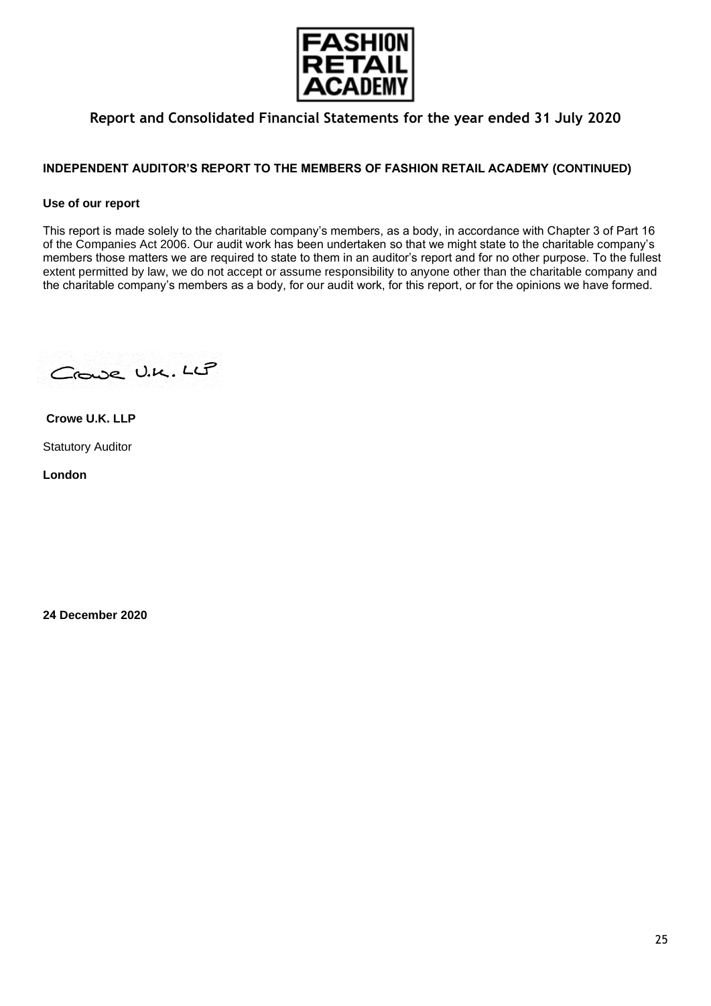

# **INDEPENDENT AUDITOR'S REPORT TO THE MEMBERS OF FASHION RETAIL ACADEMY (CONTINUED)**

### **Use of our report**

This report is made solely to the charitable company's members, as a body, in accordance with Chapter 3 of Part 16 of the Companies Act 2006. Our audit work has been undertaken so that we might state to the charitable company's members those matters we are required to state to them in an auditor's report and for no other purpose. To the fullest extent permitted by law, we do not accept or assume responsibility to anyone other than the charitable company and the charitable company's members as a body, for our audit work, for this report, or for the opinions we have formed.

Crowe U.K. LLP

**Crowe U.K. LLP**  Statutory Auditor

**London** 

**24 December 2020**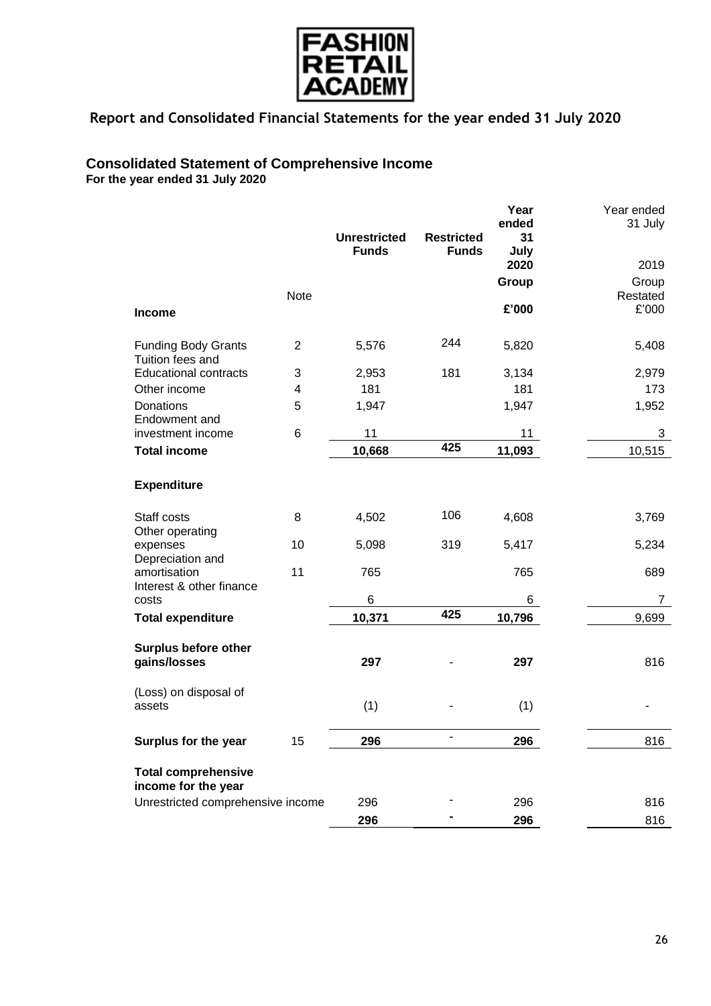

# **Consolidated Statement of Comprehensive Income**

**For the year ended 31 July 2020**

|                                                   |                |                     |                   | Year<br>ended | Year ended<br>31 July |
|---------------------------------------------------|----------------|---------------------|-------------------|---------------|-----------------------|
|                                                   |                | <b>Unrestricted</b> | <b>Restricted</b> | 31            |                       |
|                                                   |                | <b>Funds</b>        | <b>Funds</b>      | July<br>2020  | 2019                  |
|                                                   |                |                     |                   | Group         | Group                 |
|                                                   | <b>Note</b>    |                     |                   |               | Restated              |
| <b>Income</b>                                     |                |                     |                   | £'000         | £'000                 |
| <b>Funding Body Grants</b><br>Tuition fees and    | $\overline{2}$ | 5,576               | 244               | 5,820         | 5,408                 |
| <b>Educational contracts</b>                      | 3              | 2,953               | 181               | 3,134         | 2,979                 |
| Other income                                      | 4              | 181                 |                   | 181           | 173                   |
| Donations                                         | 5              | 1,947               |                   | 1,947         | 1,952                 |
| Endowment and                                     | 6              |                     |                   |               |                       |
| investment income                                 |                | 11                  | 425               | 11            | 3                     |
| <b>Total income</b>                               |                | 10,668              |                   | 11,093        | 10,515                |
| <b>Expenditure</b>                                |                |                     |                   |               |                       |
| Staff costs<br>Other operating                    | 8              | 4,502               | 106               | 4,608         | 3,769                 |
| expenses<br>Depreciation and                      | 10             | 5,098               | 319               | 5,417         | 5,234                 |
| amortisation<br>Interest & other finance          | 11             | 765                 |                   | 765           | 689                   |
| costs                                             |                | 6                   |                   | 6.            | 7                     |
| <b>Total expenditure</b>                          |                | 10,371              | 425               | 10,796        | 9,699                 |
| Surplus before other<br>gains/losses              |                | 297                 |                   | 297           | 816                   |
| (Loss) on disposal of<br>assets                   |                | (1)                 |                   | (1)           |                       |
| Surplus for the year                              | 15             | 296                 | ÷,                | 296           | 816                   |
| <b>Total comprehensive</b><br>income for the year |                |                     |                   |               |                       |
| Unrestricted comprehensive income                 |                | 296                 |                   | 296           | 816                   |
|                                                   |                | 296                 |                   | 296           | 816                   |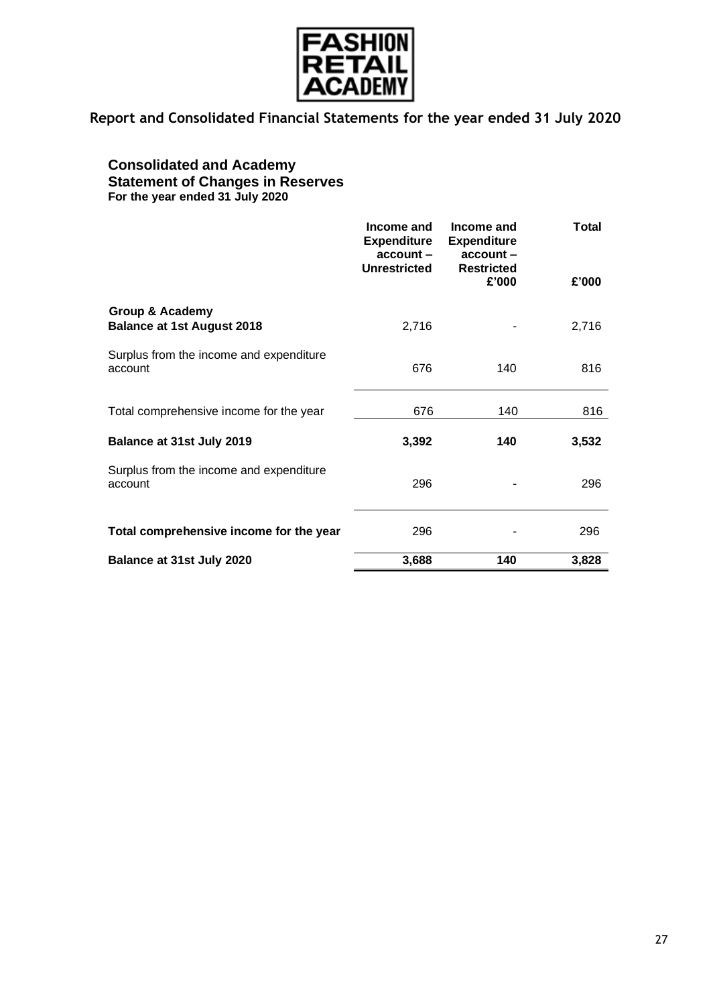

# **Consolidated and Academy Statement of Changes in Reserves For the year ended 31 July 2020**

|                                                                 | Income and<br><b>Expenditure</b><br>$account -$<br><b>Unrestricted</b> | Income and<br><b>Expenditure</b><br>account-<br><b>Restricted</b> | <b>Total</b> |
|-----------------------------------------------------------------|------------------------------------------------------------------------|-------------------------------------------------------------------|--------------|
|                                                                 |                                                                        | £'000                                                             | £'000        |
| <b>Group &amp; Academy</b><br><b>Balance at 1st August 2018</b> | 2,716                                                                  |                                                                   | 2,716        |
| Surplus from the income and expenditure<br>account              | 676                                                                    | 140                                                               | 816          |
| Total comprehensive income for the year                         | 676                                                                    | 140                                                               | 816          |
| Balance at 31st July 2019                                       | 3,392                                                                  | 140                                                               | 3,532        |
| Surplus from the income and expenditure<br>account              | 296                                                                    |                                                                   | 296          |
| Total comprehensive income for the year                         | 296                                                                    |                                                                   | 296          |
| Balance at 31st July 2020                                       | 3,688                                                                  | 140                                                               | 3,828        |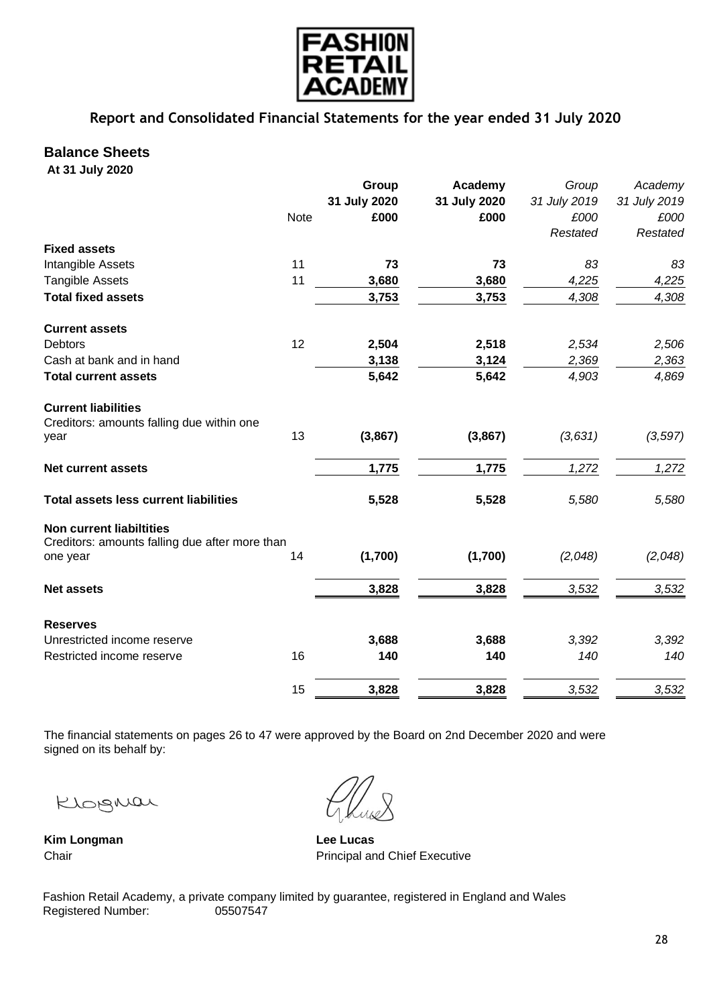

# **Balance Sheets**

**At 31 July 2020** 

|                                                |             | Group        | Academy      | Group        | Academy      |
|------------------------------------------------|-------------|--------------|--------------|--------------|--------------|
|                                                |             | 31 July 2020 | 31 July 2020 | 31 July 2019 | 31 July 2019 |
|                                                | <b>Note</b> | £000         | £000         | £000         | £000         |
|                                                |             |              |              | Restated     | Restated     |
| <b>Fixed assets</b>                            |             |              |              |              |              |
| Intangible Assets                              | 11          | 73           | 73           | 83           | 83           |
| <b>Tangible Assets</b>                         | 11          | 3,680        | 3,680        | 4,225        | 4,225        |
| <b>Total fixed assets</b>                      |             | 3,753        | 3,753        | 4,308        | 4,308        |
| <b>Current assets</b>                          |             |              |              |              |              |
| <b>Debtors</b>                                 | 12          | 2,504        | 2,518        | 2,534        | 2,506        |
| Cash at bank and in hand                       |             | 3,138        | 3,124        | 2,369        | 2,363        |
| <b>Total current assets</b>                    |             | 5,642        | 5,642        | 4,903        | 4,869        |
| <b>Current liabilities</b>                     |             |              |              |              |              |
| Creditors: amounts falling due within one      |             |              |              |              |              |
| year                                           | 13          | (3,867)      | (3,867)      | (3,631)      | (3, 597)     |
| <b>Net current assets</b>                      |             | 1,775        | 1,775        | 1,272        | 1,272        |
| <b>Total assets less current liabilities</b>   |             | 5,528        | 5,528        | 5,580        | 5,580        |
| <b>Non current liabiltities</b>                |             |              |              |              |              |
| Creditors: amounts falling due after more than |             |              |              |              |              |
| one year                                       | 14          | (1,700)      | (1,700)      | (2,048)      | (2,048)      |
| <b>Net assets</b>                              |             | 3,828        | 3,828        | 3,532        | 3,532        |
| <b>Reserves</b>                                |             |              |              |              |              |
| Unrestricted income reserve                    |             | 3,688        | 3,688        | 3,392        | 3,392        |
| Restricted income reserve                      | 16          | 140          | 140          | 140          | 140          |
|                                                | 15          | 3,828        | 3,828        | 3,532        | 3,532        |

The financial statements on pages 26 to 47 were approved by the Board on 2nd December 2020 and were signed on its behalf by:

Kloppnar

**Kim Longman Lee Lucas**

**Chair Principal and Chief Executive** 

Fashion Retail Academy, a private company limited by guarantee, registered in England and Wales Registered Number: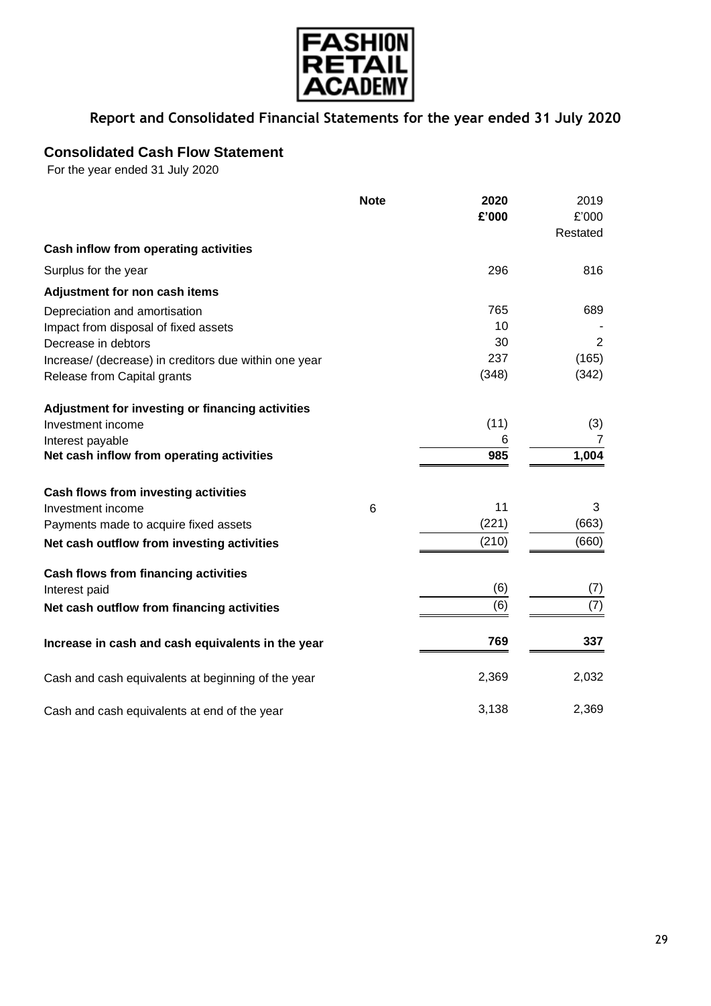

# **Consolidated Cash Flow Statement**

For the year ended 31 July 2020

|                                                       | <b>Note</b> | 2020<br>£'000 | 2019<br>£'000<br>Restated |
|-------------------------------------------------------|-------------|---------------|---------------------------|
| Cash inflow from operating activities                 |             |               |                           |
| Surplus for the year                                  |             | 296           | 816                       |
| Adjustment for non cash items                         |             |               |                           |
| Depreciation and amortisation                         |             | 765           | 689                       |
| Impact from disposal of fixed assets                  |             | 10            |                           |
| Decrease in debtors                                   |             | 30            | 2                         |
| Increase/ (decrease) in creditors due within one year |             | 237           | (165)                     |
| Release from Capital grants                           |             | (348)         | (342)                     |
| Adjustment for investing or financing activities      |             |               |                           |
| Investment income                                     |             | (11)          | (3)                       |
| Interest payable                                      |             | 6             | $\overline{7}$            |
| Net cash inflow from operating activities             |             | 985           | 1,004                     |
| <b>Cash flows from investing activities</b>           |             |               |                           |
| Investment income                                     | 6           | 11            | 3                         |
| Payments made to acquire fixed assets                 |             | (221)         | (663)                     |
| Net cash outflow from investing activities            |             | (210)         | (660)                     |
| <b>Cash flows from financing activities</b>           |             |               |                           |
| Interest paid                                         |             | (6)           | (7)                       |
| Net cash outflow from financing activities            |             | (6)           | (7)                       |
| Increase in cash and cash equivalents in the year     |             | 769           | 337                       |
| Cash and cash equivalents at beginning of the year    |             | 2,369         | 2,032                     |
| Cash and cash equivalents at end of the year          |             | 3,138         | 2,369                     |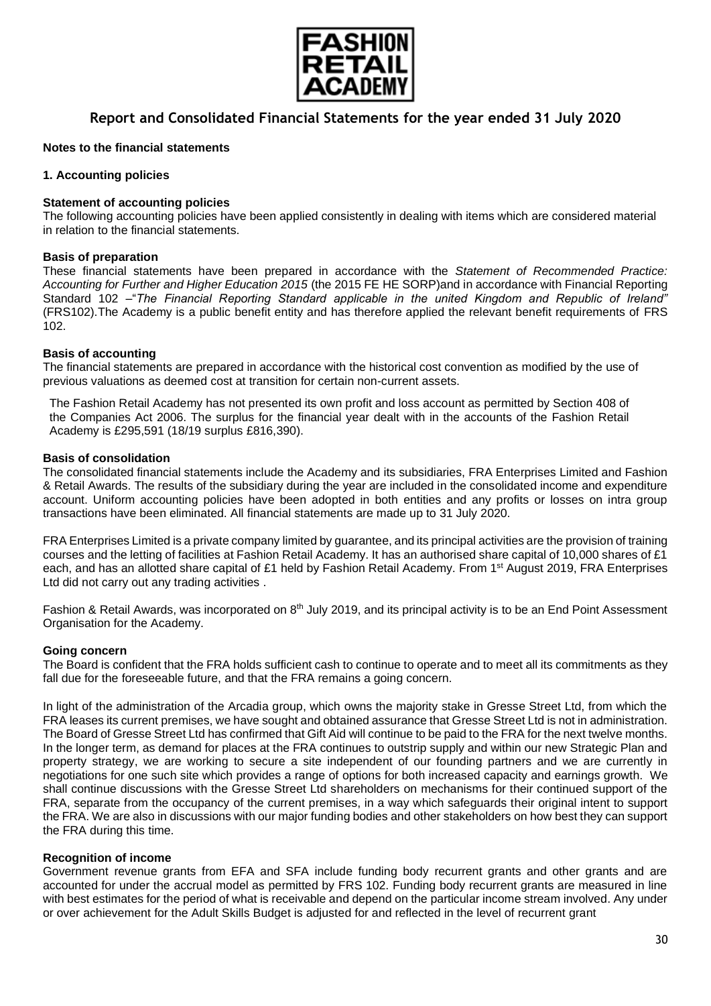

### **Notes to the financial statements**

### **1. Accounting policies**

### **Statement of accounting policies**

The following accounting policies have been applied consistently in dealing with items which are considered material in relation to the financial statements.

### **Basis of preparation**

These financial statements have been prepared in accordance with the *Statement of Recommended Practice: Accounting for Further and Higher Education 2015* (the 2015 FE HE SORP)and in accordance with Financial Reporting Standard 102 –"*The Financial Reporting Standard applicable in the united Kingdom and Republic of Ireland"*  (FRS102).The Academy is a public benefit entity and has therefore applied the relevant benefit requirements of FRS 102.

## **Basis of accounting**

The financial statements are prepared in accordance with the historical cost convention as modified by the use of previous valuations as deemed cost at transition for certain non-current assets.

The Fashion Retail Academy has not presented its own profit and loss account as permitted by Section 408 of the Companies Act 2006. The surplus for the financial year dealt with in the accounts of the Fashion Retail Academy is £295,591 (18/19 surplus £816,390).

### **Basis of consolidation**

The consolidated financial statements include the Academy and its subsidiaries, FRA Enterprises Limited and Fashion & Retail Awards. The results of the subsidiary during the year are included in the consolidated income and expenditure account. Uniform accounting policies have been adopted in both entities and any profits or losses on intra group transactions have been eliminated. All financial statements are made up to 31 July 2020.

FRA Enterprises Limited is a private company limited by guarantee, and its principal activities are the provision of training courses and the letting of facilities at Fashion Retail Academy. It has an authorised share capital of 10,000 shares of £1 each, and has an allotted share capital of £1 held by Fashion Retail Academy. From 1<sup>st</sup> August 2019, FRA Enterprises Ltd did not carry out any trading activities .

Fashion & Retail Awards, was incorporated on 8<sup>th</sup> July 2019, and its principal activity is to be an End Point Assessment Organisation for the Academy.

### **Going concern**

The Board is confident that the FRA holds sufficient cash to continue to operate and to meet all its commitments as they fall due for the foreseeable future, and that the FRA remains a going concern.

In light of the administration of the Arcadia group, which owns the majority stake in Gresse Street Ltd, from which the FRA leases its current premises, we have sought and obtained assurance that Gresse Street Ltd is not in administration. The Board of Gresse Street Ltd has confirmed that Gift Aid will continue to be paid to the FRA for the next twelve months. In the longer term, as demand for places at the FRA continues to outstrip supply and within our new Strategic Plan and property strategy, we are working to secure a site independent of our founding partners and we are currently in negotiations for one such site which provides a range of options for both increased capacity and earnings growth. We shall continue discussions with the Gresse Street Ltd shareholders on mechanisms for their continued support of the FRA, separate from the occupancy of the current premises, in a way which safeguards their original intent to support the FRA. We are also in discussions with our major funding bodies and other stakeholders on how best they can support the FRA during this time.

### **Recognition of income**

Government revenue grants from EFA and SFA include funding body recurrent grants and other grants and are accounted for under the accrual model as permitted by FRS 102. Funding body recurrent grants are measured in line with best estimates for the period of what is receivable and depend on the particular income stream involved. Any under or over achievement for the Adult Skills Budget is adjusted for and reflected in the level of recurrent grant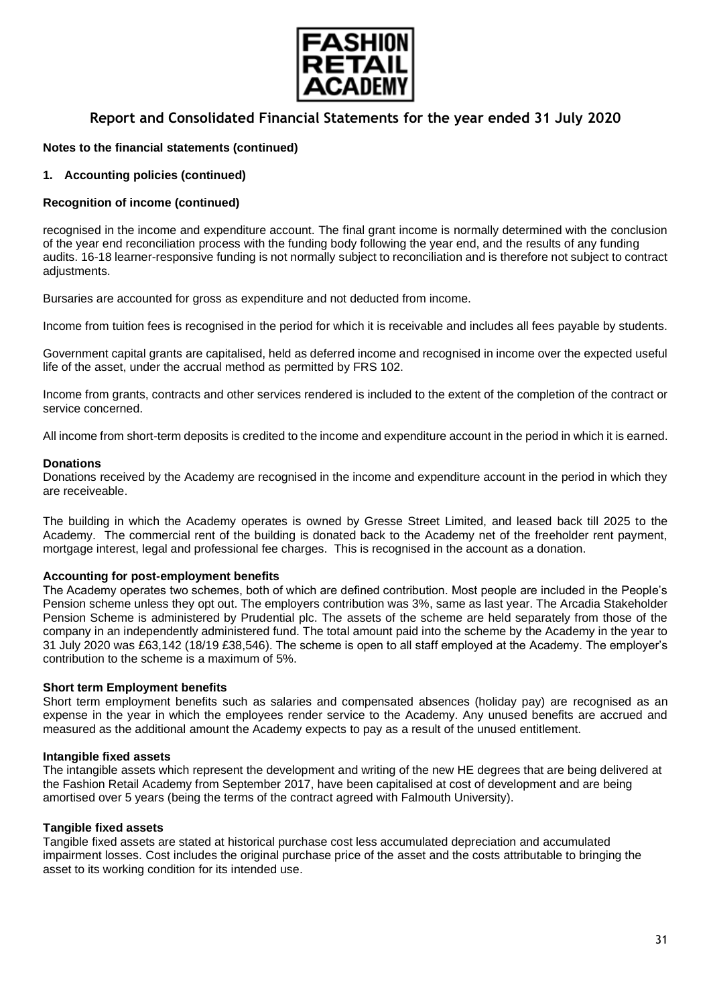

## **Notes to the financial statements (continued)**

### **1. Accounting policies (continued)**

### **Recognition of income (continued)**

recognised in the income and expenditure account. The final grant income is normally determined with the conclusion of the year end reconciliation process with the funding body following the year end, and the results of any funding audits. 16-18 learner-responsive funding is not normally subject to reconciliation and is therefore not subject to contract adjustments.

Bursaries are accounted for gross as expenditure and not deducted from income.

Income from tuition fees is recognised in the period for which it is receivable and includes all fees payable by students.

Government capital grants are capitalised, held as deferred income and recognised in income over the expected useful life of the asset, under the accrual method as permitted by FRS 102.

Income from grants, contracts and other services rendered is included to the extent of the completion of the contract or service concerned.

All income from short-term deposits is credited to the income and expenditure account in the period in which it is earned.

#### **Donations**

Donations received by the Academy are recognised in the income and expenditure account in the period in which they are receiveable.

The building in which the Academy operates is owned by Gresse Street Limited, and leased back till 2025 to the Academy. The commercial rent of the building is donated back to the Academy net of the freeholder rent payment, mortgage interest, legal and professional fee charges. This is recognised in the account as a donation.

#### **Accounting for post-employment benefits**

The Academy operates two schemes, both of which are defined contribution. Most people are included in the People's Pension scheme unless they opt out. The employers contribution was 3%, same as last year. The Arcadia Stakeholder Pension Scheme is administered by Prudential plc. The assets of the scheme are held separately from those of the company in an independently administered fund. The total amount paid into the scheme by the Academy in the year to 31 July 2020 was £63,142 (18/19 £38,546). The scheme is open to all staff employed at the Academy. The employer's contribution to the scheme is a maximum of 5%.

#### **Short term Employment benefits**

Short term employment benefits such as salaries and compensated absences (holiday pay) are recognised as an expense in the year in which the employees render service to the Academy. Any unused benefits are accrued and measured as the additional amount the Academy expects to pay as a result of the unused entitlement.

#### **Intangible fixed assets**

The intangible assets which represent the development and writing of the new HE degrees that are being delivered at the Fashion Retail Academy from September 2017, have been capitalised at cost of development and are being amortised over 5 years (being the terms of the contract agreed with Falmouth University).

#### **Tangible fixed assets**

Tangible fixed assets are stated at historical purchase cost less accumulated depreciation and accumulated impairment losses. Cost includes the original purchase price of the asset and the costs attributable to bringing the asset to its working condition for its intended use.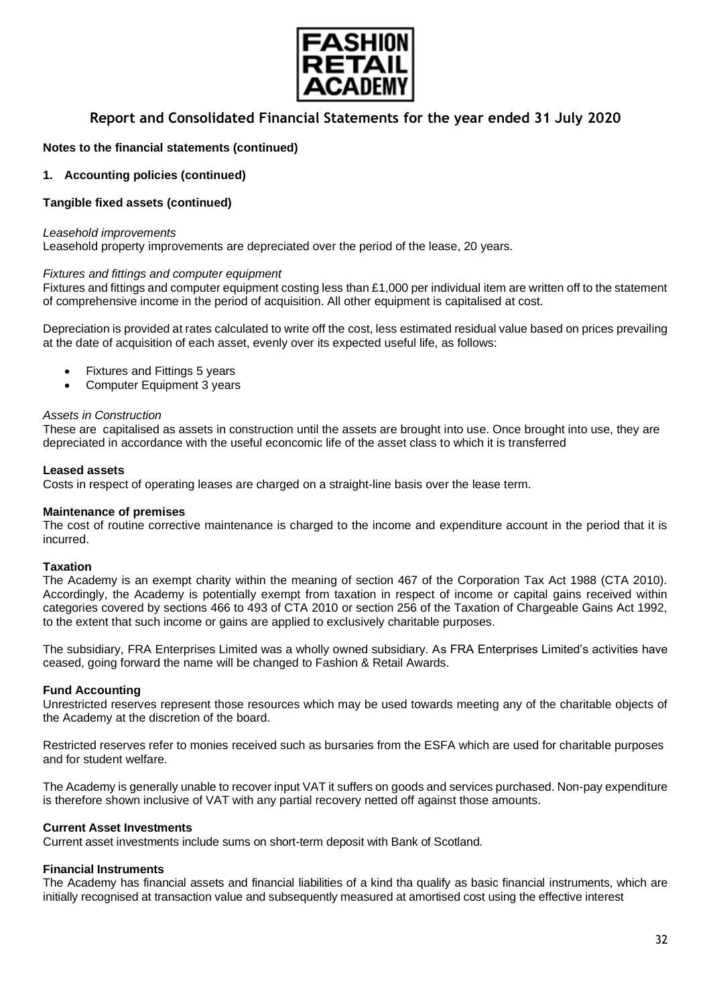

## **Notes to the financial statements (continued)**

### **1. Accounting policies (continued)**

# **Tangible fixed assets (continued)**

#### *Leasehold improvements*

Leasehold property improvements are depreciated over the period of the lease, 20 years.

#### *Fixtures and fittings and computer equipment*

Fixtures and fittings and computer equipment costing less than £1,000 per individual item are written off to the statement of comprehensive income in the period of acquisition. All other equipment is capitalised at cost.

Depreciation is provided at rates calculated to write off the cost, less estimated residual value based on prices prevailing at the date of acquisition of each asset, evenly over its expected useful life, as follows:

- Fixtures and Fittings 5 years
- Computer Equipment 3 years

#### *Assets in Construction*

These are capitalised as assets in construction until the assets are brought into use. Once brought into use, they are depreciated in accordance with the useful econcomic life of the asset class to which it is transferred

#### **Leased assets**

Costs in respect of operating leases are charged on a straight-line basis over the lease term.

#### **Maintenance of premises**

The cost of routine corrective maintenance is charged to the income and expenditure account in the period that it is incurred.

#### **Taxation**

The Academy is an exempt charity within the meaning of section 467 of the Corporation Tax Act 1988 (CTA 2010). Accordingly, the Academy is potentially exempt from taxation in respect of income or capital gains received within categories covered by sections 466 to 493 of CTA 2010 or section 256 of the Taxation of Chargeable Gains Act 1992, to the extent that such income or gains are applied to exclusively charitable purposes.

The subsidiary, FRA Enterprises Limited was a wholly owned subsidiary. As FRA Enterprises Limited's activities have ceased, going forward the name will be changed to Fashion & Retail Awards.

#### **Fund Accounting**

Unrestricted reserves represent those resources which may be used towards meeting any of the charitable objects of the Academy at the discretion of the board.

Restricted reserves refer to monies received such as bursaries from the ESFA which are used for charitable purposes and for student welfare.

The Academy is generally unable to recover input VAT it suffers on goods and services purchased. Non-pay expenditure is therefore shown inclusive of VAT with any partial recovery netted off against those amounts.

#### **Current Asset Investments**

Current asset investments include sums on short-term deposit with Bank of Scotland.

#### **Financial Instruments**

The Academy has financial assets and financial liabilities of a kind tha qualify as basic financial instruments, which are initially recognised at transaction value and subsequently measured at amortised cost using the effective interest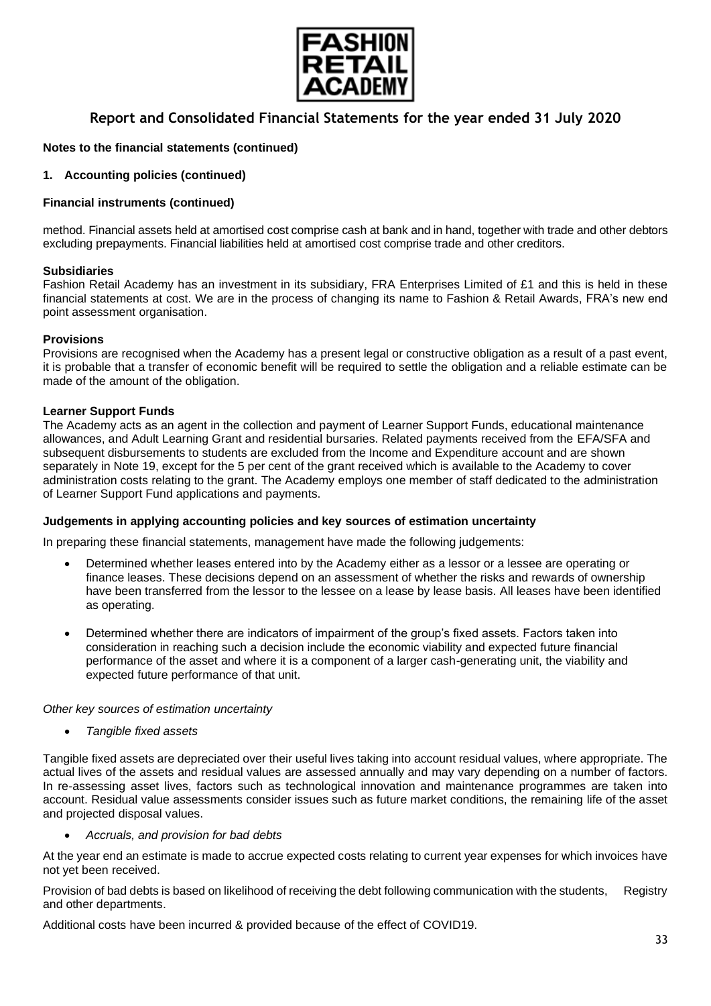

### **Notes to the financial statements (continued)**

### **1. Accounting policies (continued)**

### **Financial instruments (continued)**

method. Financial assets held at amortised cost comprise cash at bank and in hand, together with trade and other debtors excluding prepayments. Financial liabilities held at amortised cost comprise trade and other creditors.

#### **Subsidiaries**

Fashion Retail Academy has an investment in its subsidiary, FRA Enterprises Limited of £1 and this is held in these financial statements at cost. We are in the process of changing its name to Fashion & Retail Awards, FRA's new end point assessment organisation.

#### **Provisions**

Provisions are recognised when the Academy has a present legal or constructive obligation as a result of a past event, it is probable that a transfer of economic benefit will be required to settle the obligation and a reliable estimate can be made of the amount of the obligation.

#### **Learner Support Funds**

The Academy acts as an agent in the collection and payment of Learner Support Funds, educational maintenance allowances, and Adult Learning Grant and residential bursaries. Related payments received from the EFA/SFA and subsequent disbursements to students are excluded from the Income and Expenditure account and are shown separately in Note 19, except for the 5 per cent of the grant received which is available to the Academy to cover administration costs relating to the grant. The Academy employs one member of staff dedicated to the administration of Learner Support Fund applications and payments.

### **Judgements in applying accounting policies and key sources of estimation uncertainty**

In preparing these financial statements, management have made the following judgements:

- Determined whether leases entered into by the Academy either as a lessor or a lessee are operating or finance leases. These decisions depend on an assessment of whether the risks and rewards of ownership have been transferred from the lessor to the lessee on a lease by lease basis. All leases have been identified as operating.
- Determined whether there are indicators of impairment of the group's fixed assets. Factors taken into consideration in reaching such a decision include the economic viability and expected future financial performance of the asset and where it is a component of a larger cash-generating unit, the viability and expected future performance of that unit.

#### *Other key sources of estimation uncertainty*

• *Tangible fixed assets*

Tangible fixed assets are depreciated over their useful lives taking into account residual values, where appropriate. The actual lives of the assets and residual values are assessed annually and may vary depending on a number of factors. In re-assessing asset lives, factors such as technological innovation and maintenance programmes are taken into account. Residual value assessments consider issues such as future market conditions, the remaining life of the asset and projected disposal values.

• *Accruals, and provision for bad debts*

At the year end an estimate is made to accrue expected costs relating to current year expenses for which invoices have not yet been received.

Provision of bad debts is based on likelihood of receiving the debt following communication with the students, Registry and other departments.

Additional costs have been incurred & provided because of the effect of COVID19.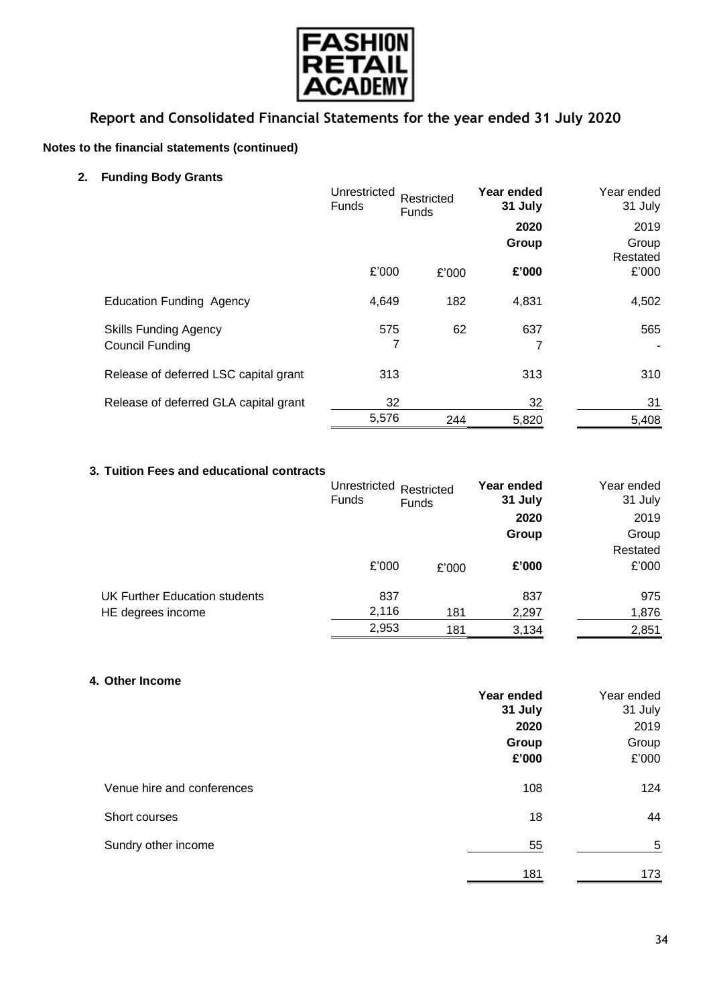

# **Notes to the financial statements (continued)**

**2. Funding Body Grants**

|                                                 | Unrestricted<br><b>Funds</b> | Restricted<br><b>Funds</b> | Year ended<br>31 July | Year ended<br>31 July     |
|-------------------------------------------------|------------------------------|----------------------------|-----------------------|---------------------------|
|                                                 |                              |                            |                       | 2019<br>Group<br>Restated |
|                                                 | £'000                        | £'000                      | £'000                 | £'000                     |
| <b>Education Funding Agency</b>                 | 4,649                        | 182                        | 4,831                 | 4,502                     |
| <b>Skills Funding Agency</b><br>Council Funding | 575<br>7                     | 62                         | 637<br>7              | 565                       |
| Release of deferred LSC capital grant           | 313                          |                            | 313                   | 310                       |
| Release of deferred GLA capital grant           | 32                           |                            | 32                    | 31                        |
|                                                 | 5,576                        | 244                        | 5,820                 | 5,408                     |

# **3. Tuition Fees and educational contracts**

|                                      | Unrestricted<br><b>Funds</b> | Restricted<br>Funds | Year ended<br>31 July | Year ended<br>31 July |
|--------------------------------------|------------------------------|---------------------|-----------------------|-----------------------|
|                                      |                              |                     | 2020                  | 2019                  |
|                                      |                              |                     | Group                 | Group                 |
|                                      |                              |                     |                       | Restated              |
|                                      | £'000                        | £'000               | £'000                 | £'000                 |
| <b>UK Further Education students</b> | 837                          |                     | 837                   | 975                   |
| HE degrees income                    | 2,116                        | 181                 | 2,297                 | 1,876                 |
|                                      | 2,953                        | 181                 | 3,134                 | 2,851                 |

### **4. Other Income**

|                            | Year ended | Year ended |
|----------------------------|------------|------------|
|                            | 31 July    | 31 July    |
|                            | 2020       | 2019       |
|                            | Group      | Group      |
|                            | £'000      | £'000      |
| Venue hire and conferences | 108        | 124        |
| Short courses              | 18         | 44         |
| Sundry other income        | 55         | 5          |
|                            | 181        | 173        |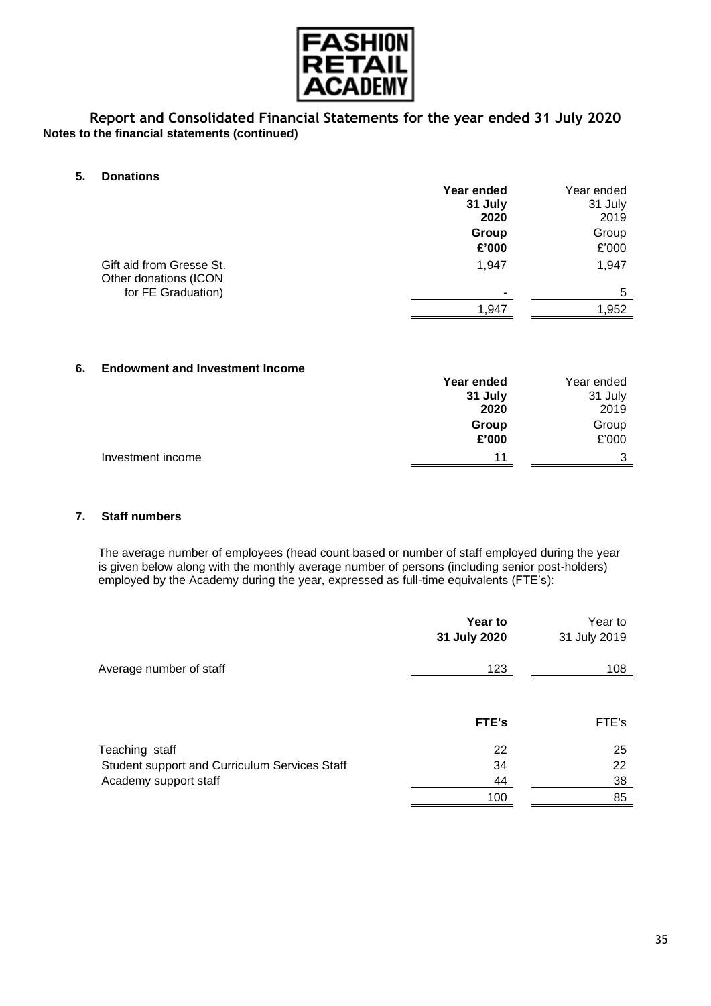

# **Report and Consolidated Financial Statements for the year ended 31 July 2020 Notes to the financial statements (continued)**

### **5. Donations**

| Year ended<br>31 July | Year ended<br>31 July |
|-----------------------|-----------------------|
|                       | 2019                  |
| £'000                 | Group<br>£'000        |
| 1.947                 | 1,947                 |
| -                     | 5                     |
| 1,947                 | 1,952                 |
|                       | 2020<br>Group         |

#### **6. Endowment and Investment Income**

|                   | Year ended | Year ended |
|-------------------|------------|------------|
|                   | 31 July    | 31 July    |
|                   | 2020       | 2019       |
|                   | Group      | Group      |
|                   | £'000      | £'000      |
| Investment income | 11         | 3          |
|                   |            |            |

## **7. Staff numbers**

The average number of employees (head count based or number of staff employed during the year is given below along with the monthly average number of persons (including senior post-holders) employed by the Academy during the year, expressed as full-time equivalents (FTE's):

|                                               | Year to<br>31 July 2020 | Year to<br>31 July 2019 |
|-----------------------------------------------|-------------------------|-------------------------|
| Average number of staff                       | 123                     | 108                     |
|                                               |                         |                         |
|                                               | FTE's                   | FTE's                   |
| Teaching staff                                | 22                      | 25                      |
| Student support and Curriculum Services Staff | 34                      | 22                      |
| Academy support staff                         | 44                      | 38                      |
|                                               | 100                     | 85                      |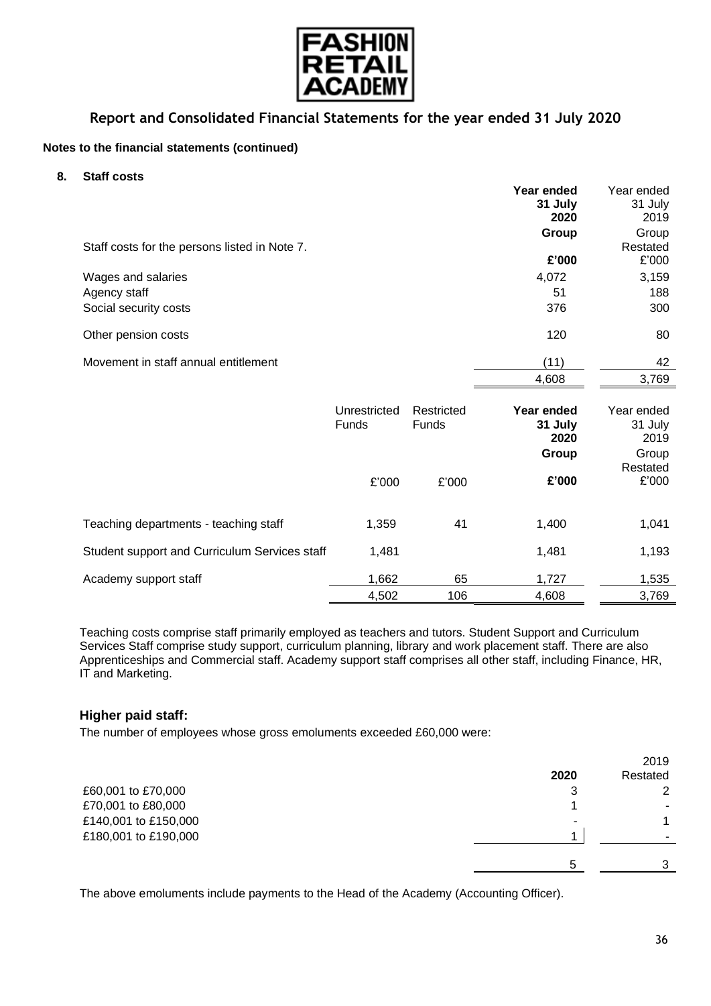

# **Notes to the financial statements (continued)**

# **8. Staff costs**

|                                               | Year ended | Year ended |
|-----------------------------------------------|------------|------------|
|                                               | 31 July    | 31 July    |
|                                               | 2020       | 2019       |
|                                               | Group      | Group      |
| Staff costs for the persons listed in Note 7. |            | Restated   |
|                                               | £'000      | £'000      |
| Wages and salaries                            | 4,072      | 3,159      |
| Agency staff                                  | 51         | 188        |
| Social security costs                         | 376        | 300        |
| Other pension costs                           | 120        | 80         |
| Movement in staff annual entitlement          | (11)       | 42         |
|                                               | 4,608      | 3,769      |

|                                               | Unrestricted<br><b>Funds</b> | Restricted<br><b>Funds</b> | Year ended<br>31 July<br>2020<br>Group | Year ended<br>31 July<br>2019<br>Group |
|-----------------------------------------------|------------------------------|----------------------------|----------------------------------------|----------------------------------------|
|                                               | £'000                        | £'000                      | £'000                                  | Restated<br>£'000                      |
| Teaching departments - teaching staff         | 1,359                        | 41                         | 1.400                                  | 1,041                                  |
| Student support and Curriculum Services staff | 1,481                        |                            | 1,481                                  | 1,193                                  |
| Academy support staff                         | 1,662                        | 65                         | 1,727                                  | 1,535                                  |
|                                               | 4,502                        | 106                        | 4,608                                  | 3,769                                  |

Teaching costs comprise staff primarily employed as teachers and tutors. Student Support and Curriculum Services Staff comprise study support, curriculum planning, library and work placement staff. There are also Apprenticeships and Commercial staff. Academy support staff comprises all other staff, including Finance, HR, IT and Marketing.

# **Higher paid staff:**

The number of employees whose gross emoluments exceeded £60,000 were:

|                      |      | 2019     |
|----------------------|------|----------|
|                      | 2020 | Restated |
| £60,001 to £70,000   | 3    |          |
| £70,001 to £80,000   |      |          |
| £140,001 to £150,000 | ۰    |          |
| £180,001 to £190,000 | 4    |          |
|                      |      |          |
|                      | 5    | ર        |

The above emoluments include payments to the Head of the Academy (Accounting Officer).

2019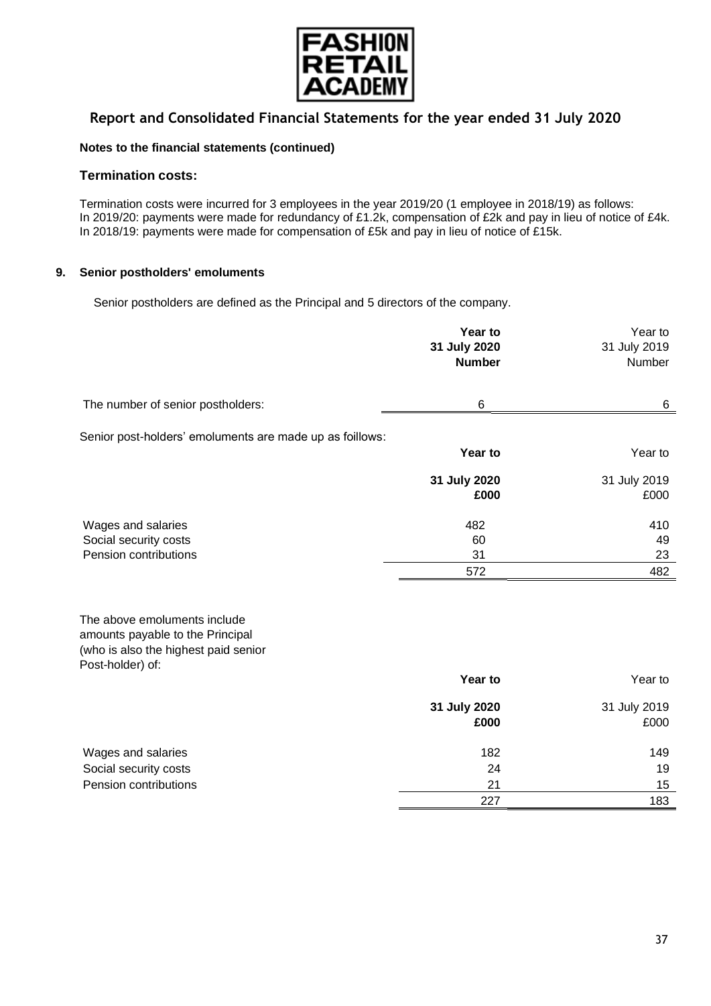

## **Notes to the financial statements (continued)**

### **Termination costs:**

Termination costs were incurred for 3 employees in the year 2019/20 (1 employee in 2018/19) as follows: In 2019/20: payments were made for redundancy of £1.2k, compensation of £2k and pay in lieu of notice of £4k. In 2018/19: payments were made for compensation of £5k and pay in lieu of notice of £15k.

#### **9. Senior postholders' emoluments**

Senior postholders are defined as the Principal and 5 directors of the company.

|                                                                                                                              | Year to<br>31 July 2020 | Year to<br>31 July 2019 |
|------------------------------------------------------------------------------------------------------------------------------|-------------------------|-------------------------|
|                                                                                                                              | <b>Number</b>           | Number                  |
| The number of senior postholders:                                                                                            | 6                       | 6                       |
| Senior post-holders' emoluments are made up as foillows:                                                                     |                         |                         |
|                                                                                                                              | Year to                 | Year to                 |
|                                                                                                                              | 31 July 2020            | 31 July 2019            |
|                                                                                                                              | £000                    | £000                    |
| Wages and salaries                                                                                                           | 482                     | 410                     |
| Social security costs                                                                                                        | 60                      | 49                      |
| Pension contributions                                                                                                        | 31                      | 23                      |
|                                                                                                                              | 572                     | 482                     |
| The above emoluments include<br>amounts payable to the Principal<br>(who is also the highest paid senior<br>Post-holder) of: |                         |                         |
|                                                                                                                              | Year to                 | Year to                 |
|                                                                                                                              | 31 July 2020<br>£000    | 31 July 2019<br>£000    |
| Wages and salaries                                                                                                           | 182                     | 149                     |
| Social security costs                                                                                                        | 24                      | 19                      |
| Pension contributions                                                                                                        | 21                      | 15                      |
|                                                                                                                              | 227                     | 183                     |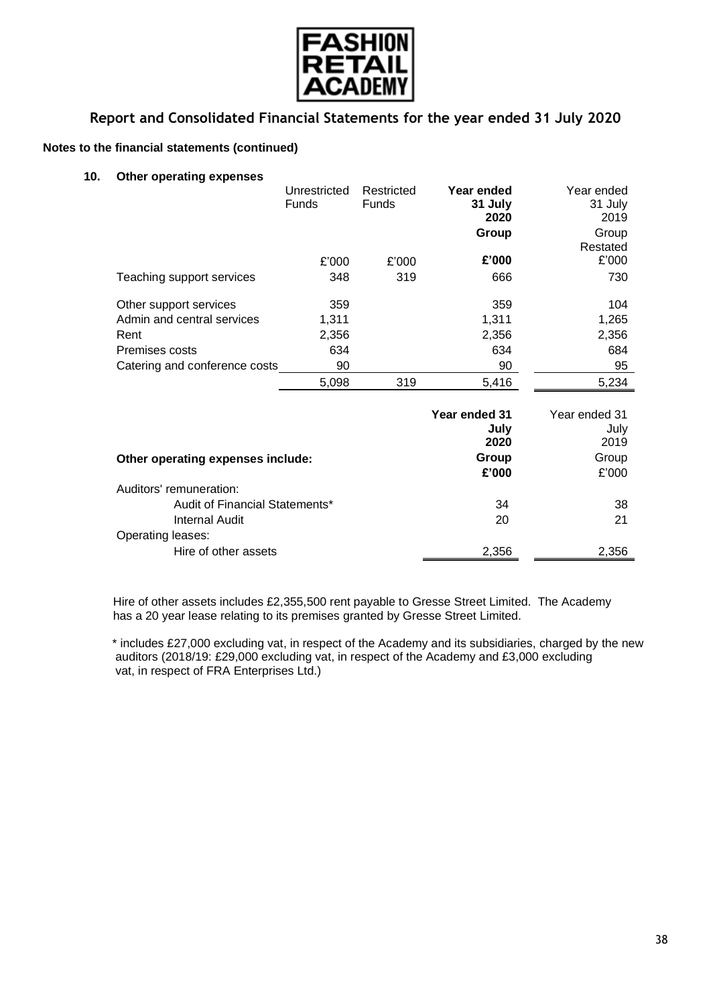

### **Notes to the financial statements (continued)**

### **10. Other operating expenses**

|                               | Unrestricted<br><b>Funds</b> | Restricted<br><b>Funds</b> | Year ended<br>31 July<br>2020 | Year ended<br>31 July<br>2019 |
|-------------------------------|------------------------------|----------------------------|-------------------------------|-------------------------------|
|                               |                              |                            | Group                         | Group<br>Restated             |
|                               | £'000                        | £'000                      | £'000                         | £'000                         |
| Teaching support services     | 348                          | 319                        | 666                           | 730                           |
| Other support services        | 359                          |                            | 359                           | 104                           |
| Admin and central services    | 1,311                        |                            | 1,311                         | 1,265                         |
| Rent                          | 2,356                        |                            | 2,356                         | 2,356                         |
| Premises costs                | 634                          |                            | 634                           | 684                           |
| Catering and conference costs | 90                           |                            | 90                            | 95                            |
|                               | 5,098                        | 319                        | 5,416                         | 5,234                         |

|                                   | Year ended 31 | Year ended 31 |
|-----------------------------------|---------------|---------------|
|                                   | July          | July          |
|                                   | 2020          | 2019          |
| Other operating expenses include: | Group         | Group         |
|                                   | £'000         | £'000         |
| Auditors' remuneration:           |               |               |
| Audit of Financial Statements*    | 34            | 38            |
| Internal Audit                    | 20            | 21            |
| Operating leases:                 |               |               |
| Hire of other assets              | 2,356         | 2,356         |

Hire of other assets includes £2,355,500 rent payable to Gresse Street Limited. The Academy has a 20 year lease relating to its premises granted by Gresse Street Limited.

 \* includes £27,000 excluding vat, in respect of the Academy and its subsidiaries, charged by the new auditors (2018/19: £29,000 excluding vat, in respect of the Academy and £3,000 excluding vat, in respect of FRA Enterprises Ltd.)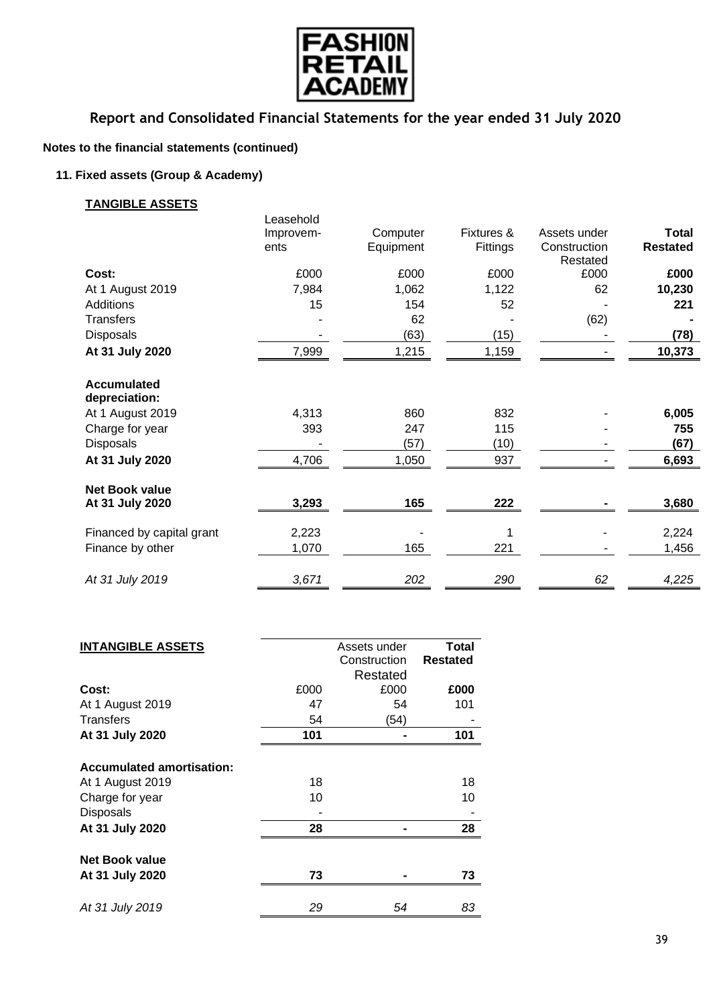

# **Notes to the financial statements (continued)**

# **11. Fixed assets (Group & Academy)**

# **TANGIBLE ASSETS**

|                           | Leasehold |           |            |              |                 |
|---------------------------|-----------|-----------|------------|--------------|-----------------|
|                           | Improvem- | Computer  | Fixtures & | Assets under | <b>Total</b>    |
|                           | ents      | Equipment | Fittings   | Construction | <b>Restated</b> |
|                           |           |           |            | Restated     |                 |
| Cost:                     | £000      | £000      | £000       | £000         | £000            |
| At 1 August 2019          | 7,984     | 1,062     | 1,122      | 62           | 10,230          |
| Additions                 | 15        | 154       | 52         |              | 221             |
| Transfers                 |           | 62        |            | (62)         |                 |
| Disposals                 |           | (63)      | (15)       |              | (78)            |
| At 31 July 2020           | 7,999     | 1,215     | 1,159      |              | 10,373          |
|                           |           |           |            |              |                 |
| <b>Accumulated</b>        |           |           |            |              |                 |
| depreciation:             |           |           |            |              |                 |
| At 1 August 2019          | 4,313     | 860       | 832        |              | 6,005           |
| Charge for year           | 393       | 247       | 115        |              | 755             |
| Disposals                 |           | (57)      | (10)       |              | (67)            |
| At 31 July 2020           | 4,706     | 1,050     | 937        |              | 6,693           |
|                           |           |           |            |              |                 |
| <b>Net Book value</b>     |           |           |            |              |                 |
| At 31 July 2020           | 3,293     | 165       | 222        |              | 3,680           |
|                           |           |           |            |              |                 |
| Financed by capital grant | 2,223     |           | 1          |              | 2,224           |
| Finance by other          | 1,070     | 165       | 221        |              | 1,456           |
|                           |           |           |            |              |                 |
| At 31 July 2019           | 3,671     | 202       | 290        | 62           | 4,225           |
|                           |           |           |            |              |                 |

| <b>INTANGIBLE ASSETS</b>         |      | Assets under<br>Construction | <b>Total</b><br><b>Restated</b> |
|----------------------------------|------|------------------------------|---------------------------------|
| Cost:                            | £000 | Restated<br>£000             | £000                            |
|                                  |      |                              |                                 |
| At 1 August 2019                 | 47   | 54                           | 101                             |
| <b>Transfers</b>                 | 54   | (54)                         |                                 |
| At 31 July 2020                  | 101  |                              | 101                             |
| <b>Accumulated amortisation:</b> |      |                              |                                 |
| At 1 August 2019                 | 18   |                              | 18                              |
| Charge for year                  | 10   |                              | 10                              |
| <b>Disposals</b>                 |      |                              |                                 |
| At 31 July 2020                  | 28   |                              | 28                              |
| <b>Net Book value</b>            |      |                              |                                 |
| At 31 July 2020                  | 73   |                              | 73                              |
| At 31 July 2019                  | 29   | 54                           | 83                              |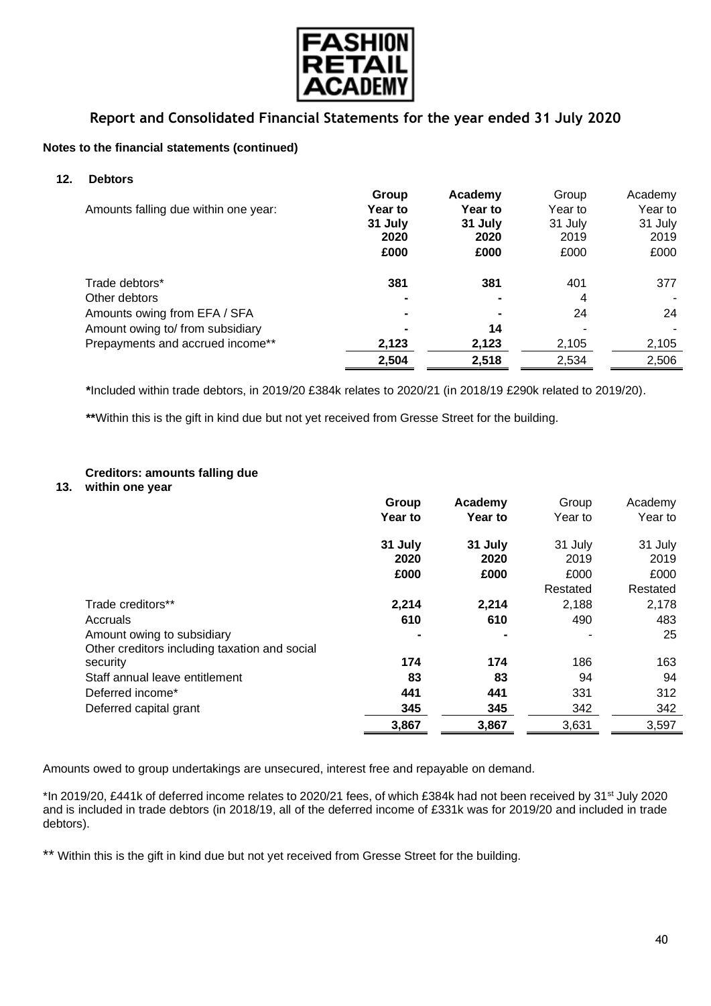

# **Notes to the financial statements (continued)**

### **12. Debtors**

|                                      | Group          | Academy | Group   | Academy |
|--------------------------------------|----------------|---------|---------|---------|
| Amounts falling due within one year: | <b>Year to</b> | Year to | Year to | Year to |
|                                      | 31 July        | 31 July | 31 July | 31 July |
|                                      | 2020           | 2020    | 2019    | 2019    |
|                                      | £000           | £000    | £000    | £000    |
| Trade debtors*                       | 381            | 381     | 401     | 377     |
| Other debtors                        | $\blacksquare$ |         | 4       |         |
| Amounts owing from EFA / SFA         | $\blacksquare$ |         | 24      | 24      |
| Amount owing to/ from subsidiary     | ۰              | 14      |         |         |
| Prepayments and accrued income**     | 2,123          | 2,123   | 2,105   | 2,105   |
|                                      | 2,504          | 2,518   | 2,534   | 2,506   |

**\***Included within trade debtors, in 2019/20 £384k relates to 2020/21 (in 2018/19 £290k related to 2019/20).

**\*\***Within this is the gift in kind due but not yet received from Gresse Street for the building.

# **Creditors: amounts falling due**

#### **13. within one year**

|                                               | Group   | Academy | Group    | Academy  |
|-----------------------------------------------|---------|---------|----------|----------|
|                                               | Year to | Year to | Year to  | Year to  |
|                                               | 31 July | 31 July | 31 July  | 31 July  |
|                                               | 2020    | 2020    | 2019     | 2019     |
|                                               | £000    | £000    | £000     | £000     |
|                                               |         |         | Restated | Restated |
| Trade creditors**                             | 2,214   | 2,214   | 2,188    | 2,178    |
| Accruals                                      | 610     | 610     | 490      | 483      |
| Amount owing to subsidiary                    |         |         |          | 25       |
| Other creditors including taxation and social |         |         |          |          |
| security                                      | 174     | 174     | 186      | 163      |
| Staff annual leave entitlement                | 83      | 83      | 94       | 94       |
| Deferred income*                              | 441     | 441     | 331      | 312      |
| Deferred capital grant                        | 345     | 345     | 342      | 342      |
|                                               | 3,867   | 3,867   | 3,631    | 3,597    |

Amounts owed to group undertakings are unsecured, interest free and repayable on demand.

\*In 2019/20, £441k of deferred income relates to 2020/21 fees, of which £384k had not been received by 31st July 2020 and is included in trade debtors (in 2018/19, all of the deferred income of £331k was for 2019/20 and included in trade debtors).

\*\* Within this is the gift in kind due but not yet received from Gresse Street for the building.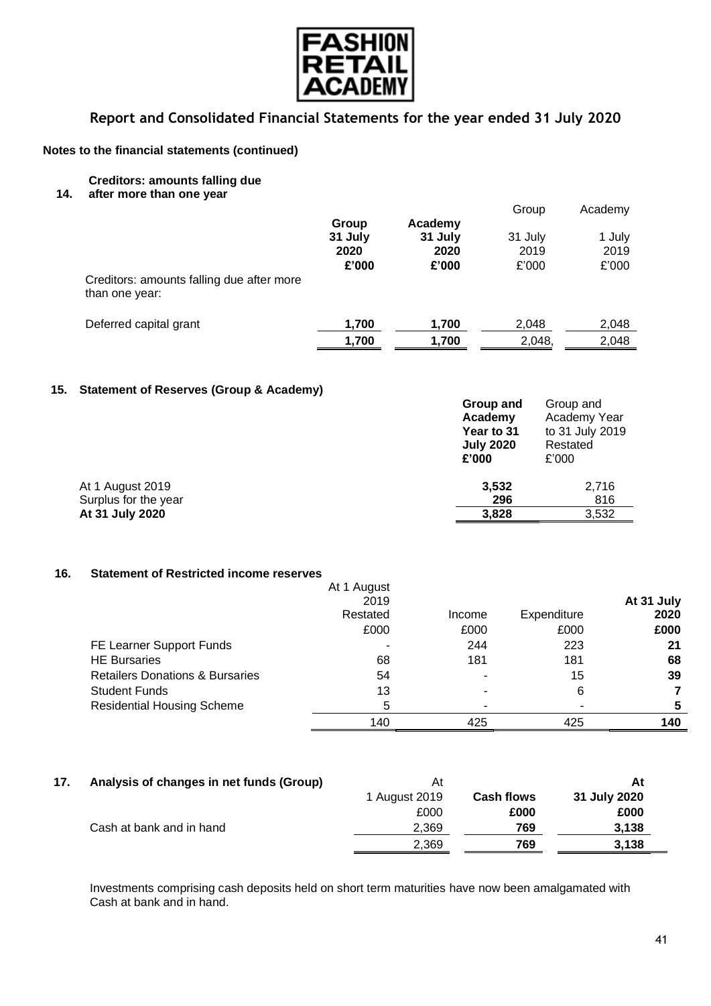

## **Notes to the financial statements (continued)**

**Creditors: amounts falling due** 

**14. after more than one year**

|                                                             | Group                    | Academy                  | Group                    | Academy                 |
|-------------------------------------------------------------|--------------------------|--------------------------|--------------------------|-------------------------|
|                                                             | 31 July<br>2020<br>£'000 | 31 July<br>2020<br>£'000 | 31 July<br>2019<br>£'000 | 1 July<br>2019<br>£'000 |
| Creditors: amounts falling due after more<br>than one year: |                          |                          |                          |                         |
| Deferred capital grant                                      | 1,700                    | 1,700                    | 2,048                    | 2,048                   |
|                                                             | 1,700                    | 1,700                    | 2,048,                   | 2,048                   |

## **15. Statement of Reserves (Group & Academy)**

|                                         | Group and<br>Academy<br>Year to 31<br><b>July 2020</b><br>£'000 | Group and<br>Academy Year<br>to 31 July 2019<br>Restated<br>£'000 |
|-----------------------------------------|-----------------------------------------------------------------|-------------------------------------------------------------------|
| At 1 August 2019                        | 3,532                                                           | 2,716                                                             |
| Surplus for the year<br>At 31 July 2020 | 296<br>3,828                                                    | 816<br>3,532                                                      |

#### **16. Statement of Restricted income reserves**

|                                            | At 1 August |        |             |            |
|--------------------------------------------|-------------|--------|-------------|------------|
|                                            | 2019        |        |             | At 31 July |
|                                            | Restated    | Income | Expenditure | 2020       |
|                                            | £000        | £000   | £000        | £000       |
| FE Learner Support Funds                   |             | 244    | 223         | 21         |
| <b>HE Bursaries</b>                        | 68          | 181    | 181         | 68         |
| <b>Retailers Donations &amp; Bursaries</b> | 54          |        | 15          | 39         |
| <b>Student Funds</b>                       | 13          |        | 6           |            |
| <b>Residential Housing Scheme</b>          | 5           |        |             | 5          |
|                                            | 140         | 425    | 425         | 140        |

| 17. | Analysis of changes in net funds (Group) | At            |                   | At           |
|-----|------------------------------------------|---------------|-------------------|--------------|
|     |                                          | 1 August 2019 | <b>Cash flows</b> | 31 July 2020 |
|     |                                          | £000          | £000              | £000         |
|     | Cash at bank and in hand                 | 2,369         | 769               | 3,138        |
|     |                                          | 2,369         | 769               | 3.138        |

Investments comprising cash deposits held on short term maturities have now been amalgamated with Cash at bank and in hand.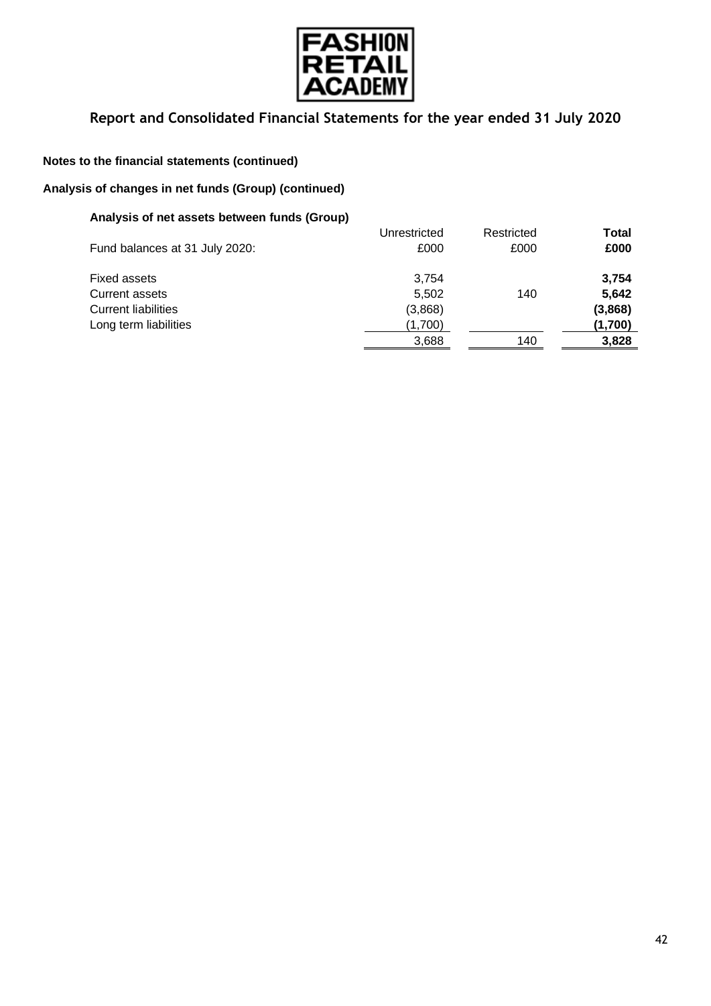

# **Notes to the financial statements (continued)**

## **Analysis of changes in net funds (Group) (continued)**

## **Analysis of net assets between funds (Group)**

|                                | Unrestricted | Restricted | Total   |
|--------------------------------|--------------|------------|---------|
| Fund balances at 31 July 2020: | £000         | £000       | £000    |
| Fixed assets                   | 3,754        |            | 3,754   |
| Current assets                 | 5.502        | 140        | 5.642   |
| <b>Current liabilities</b>     | (3,868)      |            | (3,868) |
| Long term liabilities          | (1,700)      |            | (1,700) |
|                                | 3,688        | 140        | 3,828   |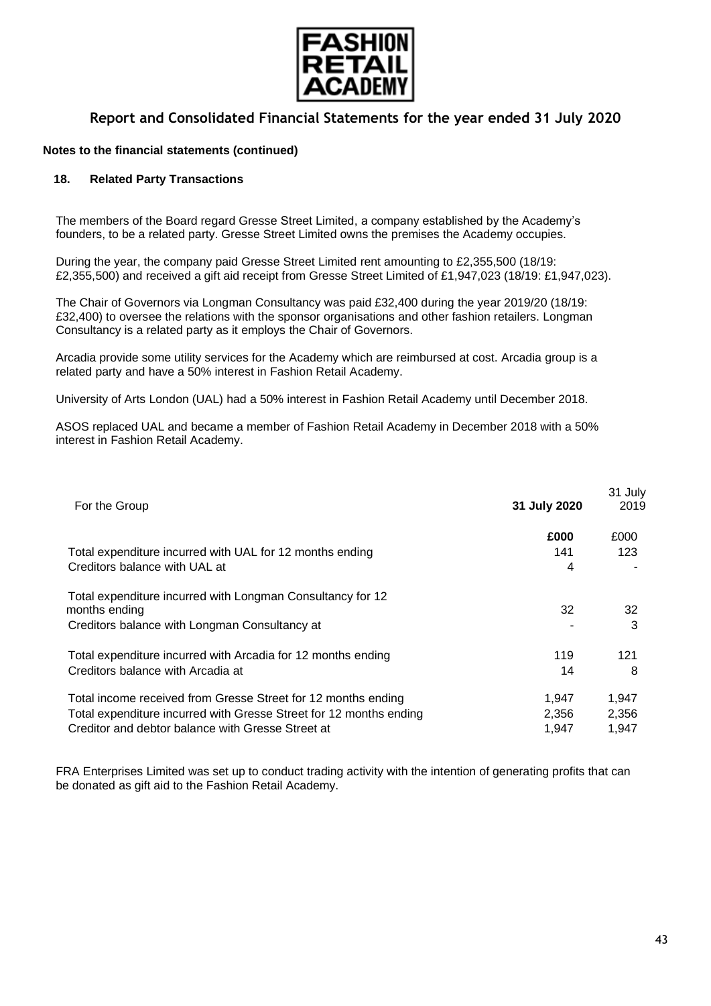

## **Notes to the financial statements (continued)**

### **18. Related Party Transactions**

The members of the Board regard Gresse Street Limited, a company established by the Academy's founders, to be a related party. Gresse Street Limited owns the premises the Academy occupies.

During the year, the company paid Gresse Street Limited rent amounting to £2,355,500 (18/19: £2,355,500) and received a gift aid receipt from Gresse Street Limited of £1,947,023 (18/19: £1,947,023).

The Chair of Governors via Longman Consultancy was paid £32,400 during the year 2019/20 (18/19: £32,400) to oversee the relations with the sponsor organisations and other fashion retailers. Longman Consultancy is a related party as it employs the Chair of Governors.

Arcadia provide some utility services for the Academy which are reimbursed at cost. Arcadia group is a related party and have a 50% interest in Fashion Retail Academy.

University of Arts London (UAL) had a 50% interest in Fashion Retail Academy until December 2018.

ASOS replaced UAL and became a member of Fashion Retail Academy in December 2018 with a 50% interest in Fashion Retail Academy.

| For the Group                                                                                                           | 31 July 2020   | 31 July<br>2019 |
|-------------------------------------------------------------------------------------------------------------------------|----------------|-----------------|
|                                                                                                                         | £000           | £000            |
| Total expenditure incurred with UAL for 12 months ending<br>Creditors balance with UAL at                               | 141<br>4       | 123             |
| Total expenditure incurred with Longman Consultancy for 12<br>months ending                                             | 32             | 32              |
| Creditors balance with Longman Consultancy at                                                                           |                | 3               |
| Total expenditure incurred with Arcadia for 12 months ending                                                            | 119            | 121             |
| Creditors balance with Arcadia at                                                                                       | 14             | 8               |
| Total income received from Gresse Street for 12 months ending                                                           | 1,947          | 1,947           |
| Total expenditure incurred with Gresse Street for 12 months ending<br>Creditor and debtor balance with Gresse Street at | 2,356<br>1.947 | 2,356<br>1.947  |
|                                                                                                                         |                |                 |

FRA Enterprises Limited was set up to conduct trading activity with the intention of generating profits that can be donated as gift aid to the Fashion Retail Academy.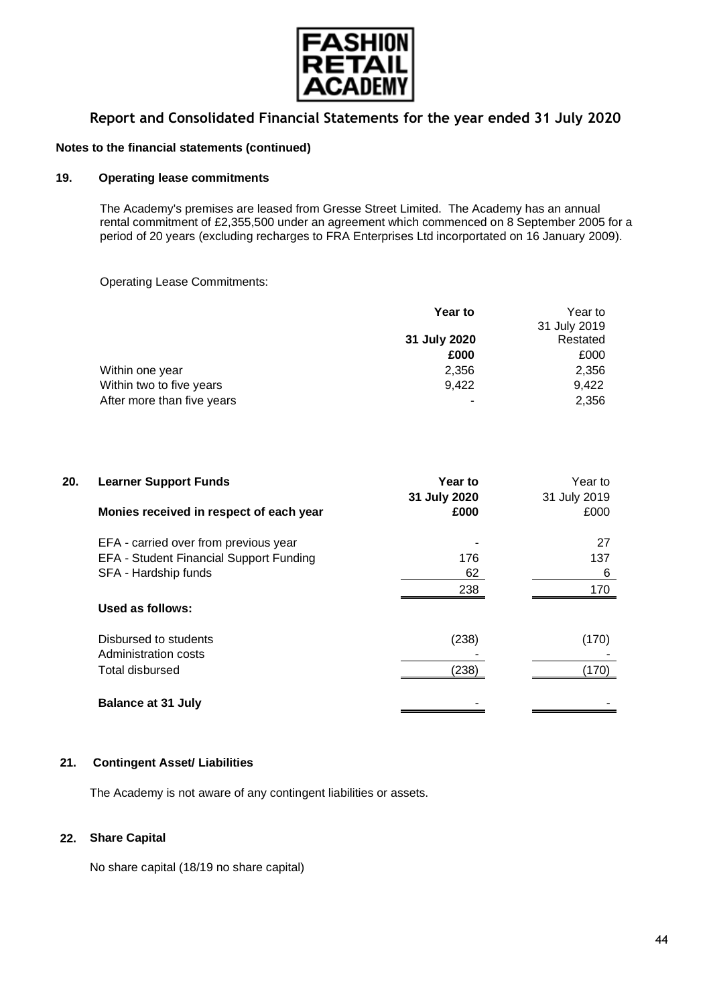

### **Notes to the financial statements (continued)**

#### **19. Operating lease commitments**

The Academy's premises are leased from Gresse Street Limited. The Academy has an annual rental commitment of £2,355,500 under an agreement which commenced on 8 September 2005 for a period of 20 years (excluding recharges to FRA Enterprises Ltd incorportated on 16 January 2009).

Operating Lease Commitments:

|                            | Year to      | Year to      |
|----------------------------|--------------|--------------|
|                            |              | 31 July 2019 |
|                            | 31 July 2020 | Restated     |
|                            | £000         | £000         |
| Within one year            | 2,356        | 2,356        |
| Within two to five years   | 9.422        | 9.422        |
| After more than five years |              | 2,356        |

| 20. | <b>Learner Support Funds</b>            | Year to<br>31 July 2020 | Year to<br>31 July 2019 |
|-----|-----------------------------------------|-------------------------|-------------------------|
|     | Monies received in respect of each year | £000                    | £000                    |
|     | EFA - carried over from previous year   |                         | 27                      |
|     | EFA - Student Financial Support Funding | 176                     | 137                     |
|     | SFA - Hardship funds                    | 62                      | 6                       |
|     |                                         | 238                     | 170                     |
|     | Used as follows:                        |                         |                         |
|     | Disbursed to students                   | (238)                   | (170)                   |
|     | Administration costs                    |                         |                         |
|     | Total disbursed                         | (238)                   | (170)                   |
|     | <b>Balance at 31 July</b>               |                         |                         |

#### **21. Contingent Asset/ Liabilities**

The Academy is not aware of any contingent liabilities or assets.

### **22. Share Capital**

No share capital (18/19 no share capital)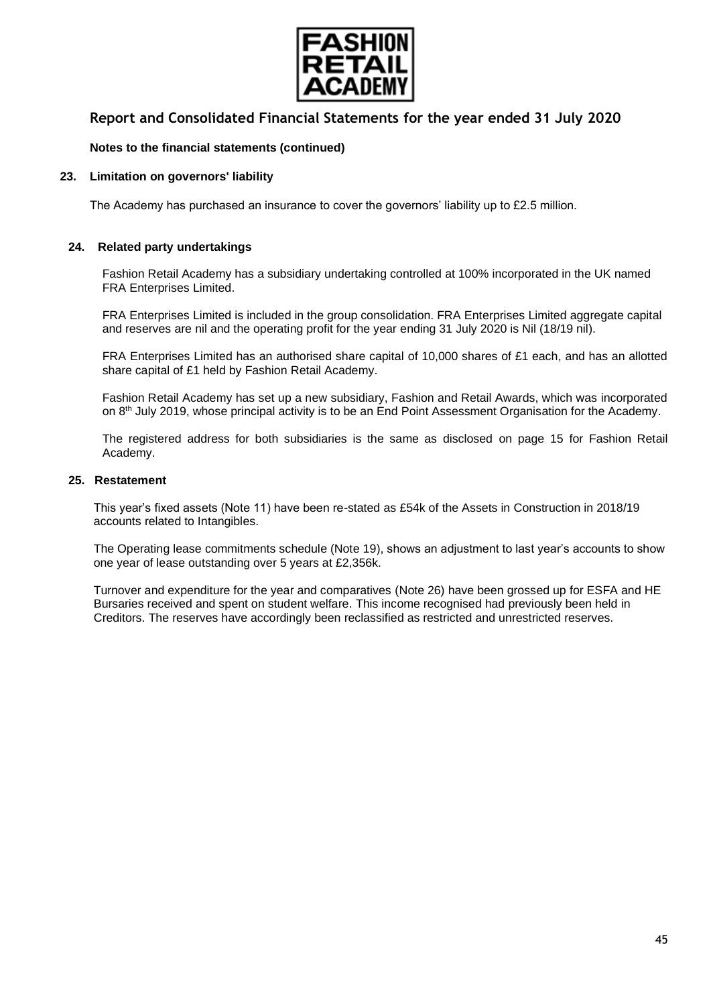

# **Notes to the financial statements (continued)**

#### **23. Limitation on governors' liability**

The Academy has purchased an insurance to cover the governors' liability up to £2.5 million.

#### **24. Related party undertakings**

Fashion Retail Academy has a subsidiary undertaking controlled at 100% incorporated in the UK named FRA Enterprises Limited.

FRA Enterprises Limited is included in the group consolidation. FRA Enterprises Limited aggregate capital and reserves are nil and the operating profit for the year ending 31 July 2020 is Nil (18/19 nil).

FRA Enterprises Limited has an authorised share capital of 10,000 shares of £1 each, and has an allotted share capital of £1 held by Fashion Retail Academy.

Fashion Retail Academy has set up a new subsidiary, Fashion and Retail Awards, which was incorporated on 8<sup>th</sup> July 2019, whose principal activity is to be an End Point Assessment Organisation for the Academy.

The registered address for both subsidiaries is the same as disclosed on page 15 for Fashion Retail Academy.

#### **25. Restatement**

This year's fixed assets (Note 11) have been re-stated as £54k of the Assets in Construction in 2018/19 accounts related to Intangibles.

The Operating lease commitments schedule (Note 19), shows an adjustment to last year's accounts to show one year of lease outstanding over 5 years at £2,356k.

Turnover and expenditure for the year and comparatives (Note 26) have been grossed up for ESFA and HE Bursaries received and spent on student welfare. This income recognised had previously been held in Creditors. The reserves have accordingly been reclassified as restricted and unrestricted reserves.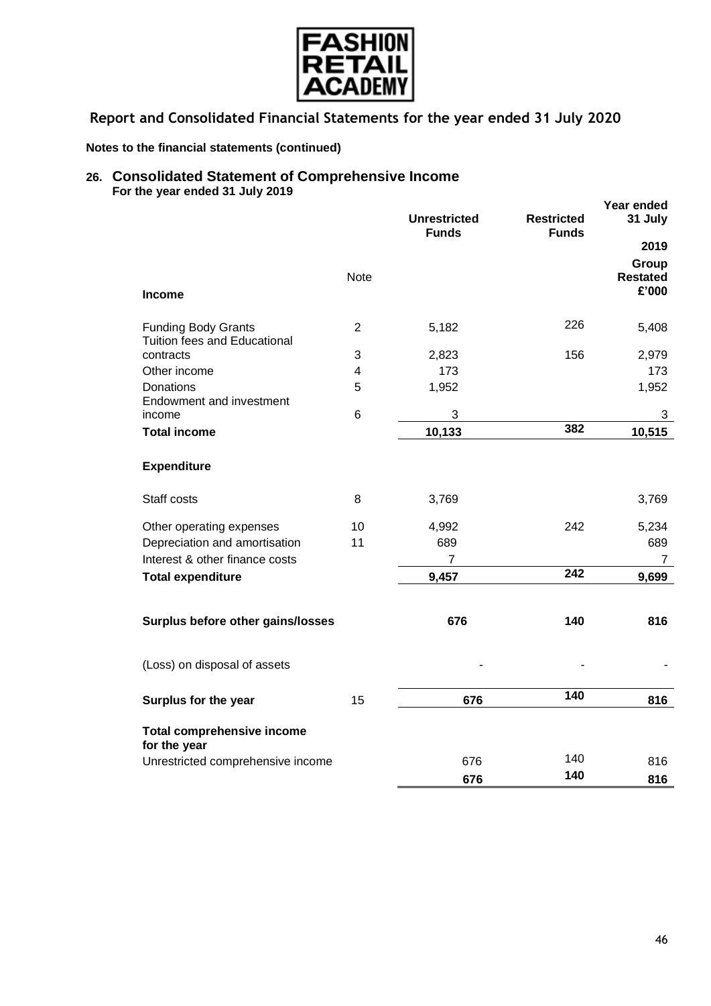

**Notes to the financial statements (continued)**

# **26. Consolidated Statement of Comprehensive Income For the year ended 31 July 2019**

|                                                                   |                | <b>Unrestricted</b><br><b>Funds</b> | <b>Restricted</b><br><b>Funds</b> | Year ended<br>31 July             |
|-------------------------------------------------------------------|----------------|-------------------------------------|-----------------------------------|-----------------------------------|
|                                                                   |                |                                     |                                   | 2019                              |
| Income                                                            | <b>Note</b>    |                                     |                                   | Group<br><b>Restated</b><br>£'000 |
|                                                                   |                |                                     |                                   |                                   |
| <b>Funding Body Grants</b><br><b>Tuition fees and Educational</b> | $\overline{2}$ | 5,182                               | 226                               | 5,408                             |
| contracts                                                         | 3              | 2,823                               | 156                               | 2,979                             |
| Other income                                                      | 4              | 173                                 |                                   | 173                               |
| Donations                                                         | 5              | 1,952                               |                                   | 1,952                             |
| <b>Endowment and investment</b>                                   |                |                                     |                                   |                                   |
| income                                                            | 6              | 3                                   |                                   | 3                                 |
| <b>Total income</b>                                               |                | 10,133                              | 382                               | 10,515                            |
| <b>Expenditure</b>                                                |                |                                     |                                   |                                   |
| Staff costs                                                       | 8              | 3,769                               |                                   | 3,769                             |
| Other operating expenses                                          | 10             | 4,992                               | 242                               | 5,234                             |
| Depreciation and amortisation                                     | 11             | 689                                 |                                   | 689                               |
| Interest & other finance costs                                    |                | $\overline{7}$                      |                                   | $\overline{7}$                    |
| <b>Total expenditure</b>                                          |                | 9,457                               | 242                               | 9,699                             |
|                                                                   |                |                                     |                                   |                                   |
| Surplus before other gains/losses                                 |                | 676                                 | 140                               | 816                               |
| (Loss) on disposal of assets                                      |                |                                     |                                   |                                   |
| Surplus for the year                                              | 15             | 676                                 | 140                               | 816                               |
| <b>Total comprehensive income</b>                                 |                |                                     |                                   |                                   |
| for the year                                                      |                |                                     |                                   |                                   |
| Unrestricted comprehensive income                                 |                | 676                                 | 140                               | 816                               |
|                                                                   |                | 676                                 | 140                               | 816                               |